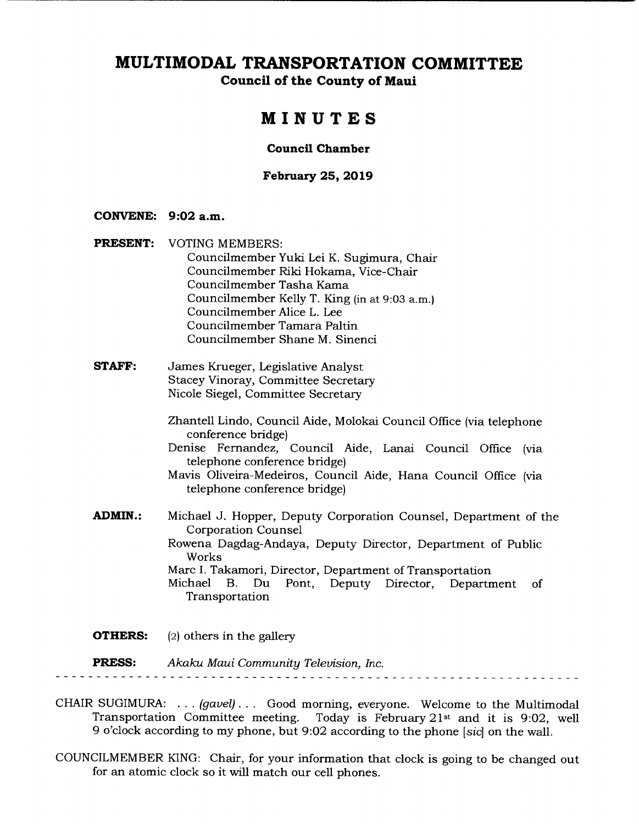**Council of the County of Maui** 

# **MINUTES**

### **Council Chamber**

### **February 25, 2019**

### **CONVENE: 9:02 a.m.**

- **PRESENT:** VOTING MEMBERS: Councilmember Yuki Lei K. Sugimura, Chair Councilmember Riki Hokama, Vice-Chair Councilmember Tasha Kama Councilmember Kelly T. King (in at 9:03 a.m.) Councilmember Alice L. Lee Councilmember Tamara Paltin Councilmember Shane M. Sinenci
- **STAFF:** James Krueger, Legislative Analyst Stacey Vinoray, Committee Secretary Nicole Siegel, Committee Secretary

Zhantell Lindo, Council Aide, Molokai Council Office (via telephone conference bridge)

Denise Fernandez, Council Aide, Lanai Council Office (via telephone conference bridge)

Mavis Oliveira-Medeiros, Council Aide, Hana Council Office (via telephone conference bridge)

**ADMIN.:** Michael J. Hopper, Deputy Corporation Counsel, Department of the Corporation Counsel Rowena Dagdag-Andaya, Deputy Director, Department of Public Works Marc I. Takamori, Director, Department of Transportation Michael B. Du Pont, Deputy Director, Department of Transportation

**OTHERS:** (2) others in the gallery

**PRESS:** *Akaku Maui Community Television, Inc.*  

- CHAIR SUGIMURA: . . . *(gavel)...* Good morning, everyone. Welcome to the Multimodal Today is February  $21st$  and it is 9:02, well 9 o'clock according to my phone, but 9:02 according to the phone *[sic]* on the wall.
- COUNCILMEMBER KING: Chair, for your information that clock is going to be changed out for an atomic clock so it will match our cell phones.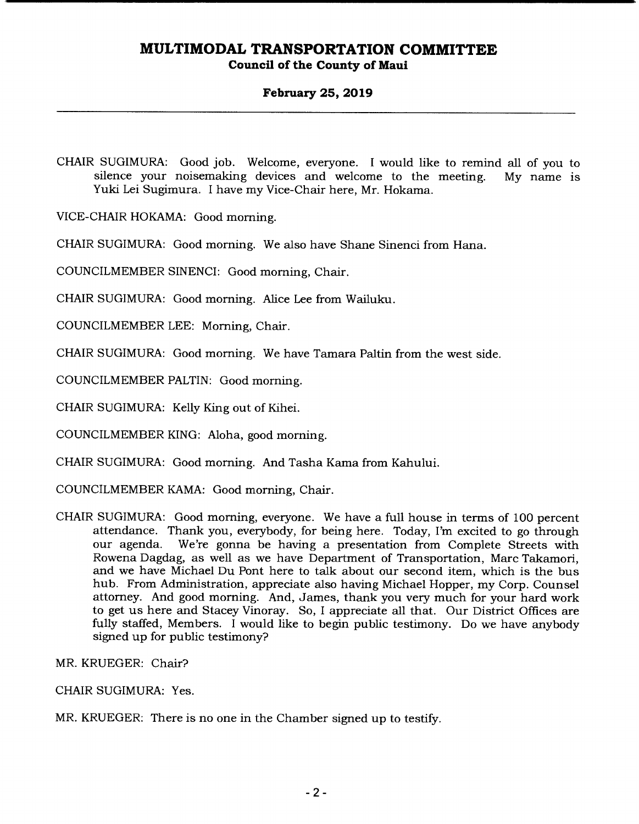### **February 25, 2019**

CHAIR SUGIMURA: Good job. Welcome, everyone. I would like to remind all of you to silence your noisemaking devices and welcome to the meeting. My name is Yuki Lei Sugimura. I have my Vice-Chair here, Mr. Hokama.

VICE-CHAIR HOKAMA: Good morning.

CHAIR SUGIMURA: Good morning. We also have Shane Sinenci from Hana.

COUNCILMEMBER SINENCI: Good morning, Chair.

CHAIR SUGIMURA: Good morning. Alice Lee from Wailuku.

COUNCILMEMBER LEE: Morning, Chair.

CHAIR SUGIMURA: Good morning. We have Tamara Paltin from the west side.

COUNCILMEMBER PALTIN: Good morning.

CHAIR SUGIMURA: Kelly King out of Kihei.

COUNCILMEMBER KING: Aloha, good morning.

CHAIR SUGIMURA: Good morning. And Tasha Kama from Kahului.

COUNCILMEMBER KAMA: Good morning, Chair.

CHAIR SUGIMURA: Good morning, everyone. We have a full house in terms of 100 percent attendance. Thank you, everybody, for being here. Today, I'm excited to go through our agenda. We're gonna be having a presentation from Complete Streets with Rowena Dagdag, as well as we have Department of Transportation, Marc Takamori, and we have Michael Du Pont here to talk about our second item, which is the bus hub. From Administration, appreciate also having Michael Hopper, my Corp. Counsel attorney. And good morning. And, James, thank you very much for your hard work to get us here and Stacey Vinoray. So, I appreciate all that. Our District Offices are fully staffed, Members. I would like to begin public testimony. Do we have anybody signed up for public testimony?

MR. KRUEGER: Chair?

CHAIR SUGIMURA: Yes.

MR. KRUEGER: There is no one in the Chamber signed up to testify.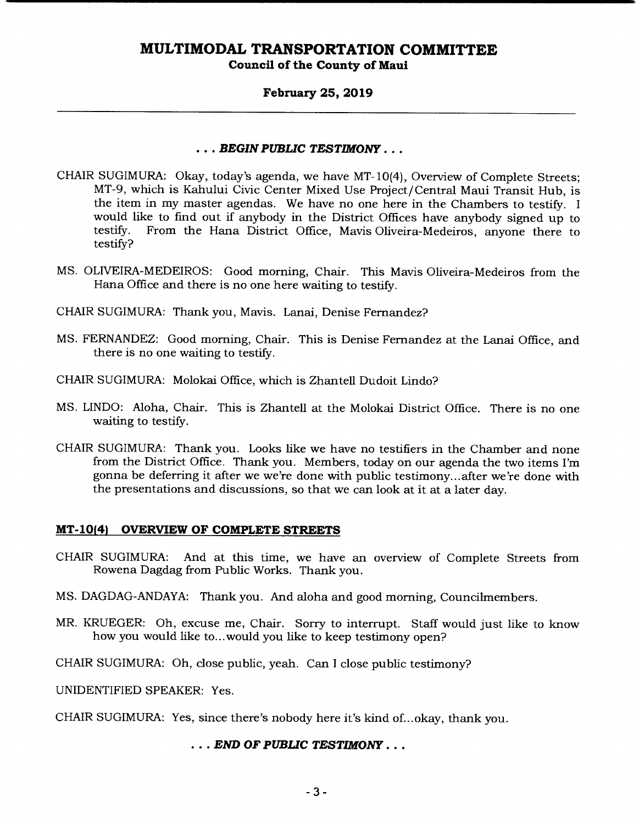### **February 25, 2019**

### *• • • BEGIN PUBLIC TESTIMONY...*

- CHAIR SUGIMURA: Okay, today's agenda, we have MT-10(4), Overview of Complete Streets; MT-9, which is Kahului Civic Center Mixed Use Project/Central Maui Transit Hub, is the item in my master agendas. We have no one here in the Chambers to testify. I would like to find out if anybody in the District Offices have anybody signed up to testify. From the Hana District Office. Mavis Oliveira-Medeiros, anyone there to From the Hana District Office, Mavis Oliveira-Medeiros, anyone there to testify?
- MS. OLIVEIRA-MEDEIROS: Good morning, Chair. This Mavis Oliveira-Medeiros from the Hana Office and there is no one here waiting to testify.
- CHAIR SUGIMURA: Thank you, Mavis. Lanai, Denise Fernandez?
- MS. FERNANDEZ: Good morning, Chair. This is Denise Fernandez at the Lanai Office, and there is no one waiting to testify.
- CHAIR SUGIMURA: Molokai Office, which is Zhantell Dudoit Lindo?
- MS. UNDO: Aloha, Chair. This is Zhantell at the Molokai District Office. There is no one waiting to testify.
- CHAIR SUGIMURA: Thank you. Looks like we have no testifiers in the Chamber and none from the District Office. Thank you. Members, today on our agenda the two items I'm gonna be deferring it after we we're done with public testimony... after we're done with the presentations and discussions, so that we can look at it at a later day.

### **MT-10(4) OVERVIEW OF COMPLETE STREETS**

- CHAIR SUGIMURA: And at this time, we have an overview of Complete Streets from Rowena Dagdag from Public Works. Thank you.
- MS. DAGDAG-ANDAYA: Thank you. And aloha and good morning, Councilmembers.
- MR. KRUEGER: Oh, excuse me, Chair. Sorry to interrupt. Staff would just like to know how you would like to... would you like to keep testimony open?
- CHAIR SUGIMURA: Oh, close public, yeah. Can I close public testimony?

UNIDENTIFIED SPEAKER: Yes.

CHAIR SUGIMURA: Yes, since there's nobody here it's kind of.. .okay, thank you.

### *• END OF PUBLIC TESTIMONY...*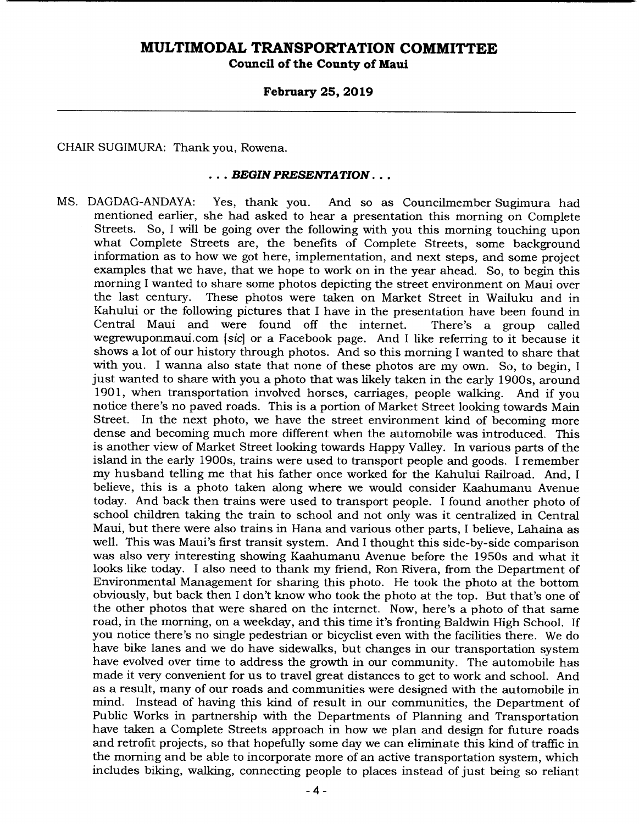### **February 25, 2019**

CHAIR SUGIMURA: Thank you, Rowena.

#### *• BEGIN PRESENTATION...*

MS. DAGDAG-ANDAYA: Yes, thank you. And so as Councilmember Sugimura had mentioned earlier, she had asked to hear a presentation this morning on Complete Streets. So, I will be going over the following with you this morning touching upon what Complete Streets are, the benefits of Complete Streets, some background information as to how we got here, implementation, and next steps, and some project examples that we have, that we hope to work on in the year ahead. So, to begin this morning I wanted to share some photos depicting the street environment on Maui over the last century. These photos were taken on Market Street in Wailuku and in Kahului or the following pictures that I have in the presentation have been found in Central Maui and were found off the internet. There's a group called wegrewuponmaui.com *[sic]* or a Facebook page. And I like referring to it because it shows a lot of our history through photos. And so this morning I wanted to share that with you. I wanna also state that none of these photos are my own. So, to begin, I just wanted to share with you a photo that was likely taken in the early 1900s, around 1901, when transportation involved horses, carriages, people walking. And if you notice there's no paved roads. This is a portion of Market Street looking towards Main Street. In the next photo, we have the street environment kind of becoming more dense and becoming much more different when the automobile was introduced. This is another view of Market Street looking towards Happy Valley. In various parts of the island in the early 1900s, trains were used to transport people and goods. I remember my husband telling me that his father once worked for the Kahului Railroad. And, I believe, this is a photo taken along where we would consider Kaahumanu Avenue today. And back then trains were used to transport people. I found another photo of school children taking the train to school and not only was it centralized in Central Maui, but there were also trains in Hana and various other parts, I believe, Lahaina as well. This was Maui's first transit system. And I thought this side-by-side comparison was also very interesting showing Kaahumanu Avenue before the 1950s and what it looks like today. I also need to thank my friend, Ron Rivera, from the Department of Environmental Management for sharing this photo. He took the photo at the bottom obviously, but back then I don't know who took the photo at the top. But that's one of the other photos that were shared on the internet. Now, here's a photo of that same road, in the morning, on a weekday, and this time it's fronting Baldwin High School. If you notice there's no single pedestrian or bicyclist even with the facilities there. We do have bike lanes and we do have sidewalks, but changes in our transportation system have evolved over time to address the growth in our community. The automobile has made it very convenient for us to travel great distances to get to work and school. And as a result, many of our roads and communities were designed with the automobile in mind. Instead of having this kind of result in our communities, the Department of Public Works in partnership with the Departments of Planning and Transportation have taken a Complete Streets approach in how we plan and design for future roads and retrofit projects, so that hopefully some day we can eliminate this kind of traffic in the morning and be able to incorporate more of an active transportation system, which includes biking, walking, connecting people to places instead of just being so reliant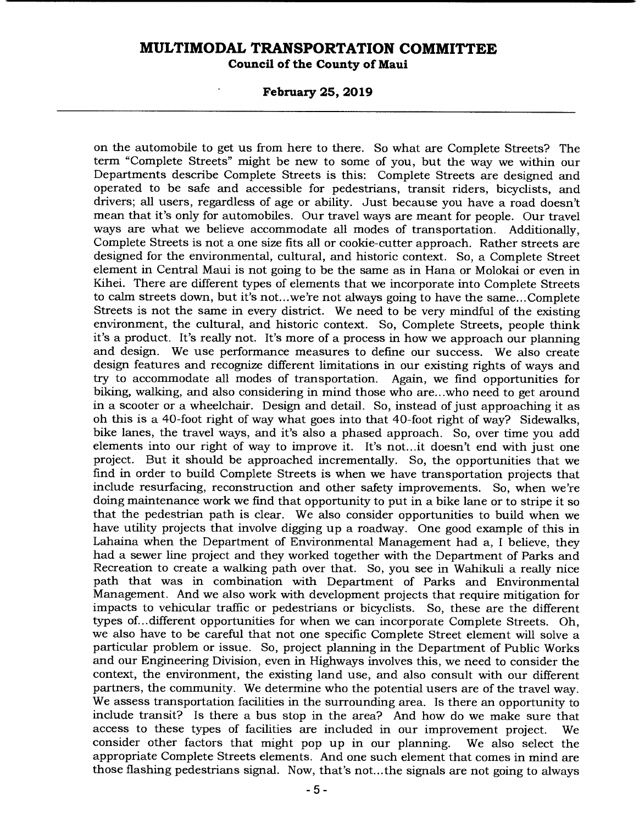**Council of the County of Maui** 

**February 25, 2019** 

on the automobile to get us from here to there. So what are Complete Streets? The term "Complete Streets" might be new to some of you, but the way we within our Departments describe Complete Streets is this: Complete Streets are designed and operated to be safe and accessible for pedestrians, transit riders, bicyclists, and drivers; all users, regardless of age or ability. Just because you have a road doesn't mean that it's only for automobiles. Our travel ways are meant for people. Our travel ways are what we believe accommodate all modes of transportation. Additionally, Complete Streets is not a one size fits all or cookie-cutter approach. Rather streets are designed for the environmental, cultural, and historic context. So, a Complete Street element in Central Maui is not going to be the same as in Hana or Molokai or even in Kihei. There are different types of elements that we incorporate into Complete Streets to calm streets down, but it's not.. .we're not always going to have the same... Complete Streets is not the same in every district. We need to be very mindful of the existing environment, the cultural, and historic context. So, Complete Streets, people think it's a product. It's really not. It's more of a process in how we approach our planning and design. We use performance measures to define our success. We also create design features and recognize different limitations in our existing rights of ways and try to accommodate all modes of transportation. Again, we find opportunities for biking, walking, and also considering in mind those who are.. .who need to get around in a scooter or a wheelchair. Design and detail. So, instead of just approaching it as oh this is a 40-foot right of way what goes into that 40-foot right of way? Sidewalks, bike lanes, the travel ways, and it's also a phased approach. So, over time you add elements into our right of way to improve it. It's not.., it doesn't end with just one project. But it should be approached incrementally. So, the opportunities that we find in order to build Complete Streets is when we have transportation projects that include resurfacing, reconstruction and other safety improvements. So, when we're doing maintenance work we find that opportunity to put in a bike lane or to stripe it so that the pedestrian path is clear. We also consider opportunities to build when we have utility projects that involve digging up a roadway. One good example of this in Lahaina when the Department of Environmental Management had a, I believe, they had a sewer line project and they worked together with the Department of Parks and Recreation to create a walking path over that. So, you see in Wahikuli a really nice path that was in combination with Department of Parks and Environmental Management. And we also work with development projects that require mitigation for impacts to vehicular traffic or pedestrians or bicyclists. So, these are the different types of... different opportunities for when we can incorporate Complete Streets. Oh, we also have to be careful that not one specific Complete Street element will solve a particular problem or issue. So, project planning in the Department of Public Works and our Engineering Division, even in Highways involves this, we need to consider the context, the environment, the existing land use, and also consult with our different partners, the community. We determine who the potential users are of the travel way. We assess transportation facilities in the surrounding area. Is there an opportunity to include transit? Is there a bus stop in the area? And how do we make sure that access to these types of facilities are included in our improvement project. We consider other factors that might pop up in our planning. We also select the appropriate Complete Streets elements. And one such element that comes in mind are those flashing pedestrians signal. Now, that's not.., the signals are not going to always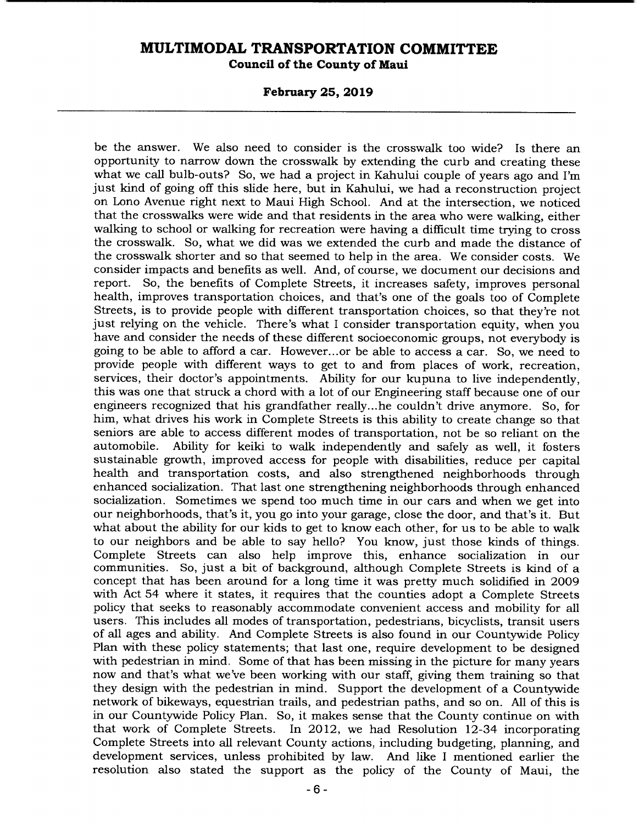## **February 25, 2019**

be the answer. We also need to consider is the crosswalk too wide? Is there an opportunity to narrow down the crosswalk by extending the curb and creating these what we call bulb-outs? So, we had a project in Kahului couple of years ago and I'm just kind of going off this slide here, but in Kahului, we had a reconstruction project on Lono Avenue right next to Maui High School. And at the intersection, we noticed that the crosswalks were wide and that residents in the area who were walking, either walking to school or walking for recreation were having a difficult time trying to cross the crosswalk. So, what we did was we extended the curb and made the distance of the crosswalk shorter and so that seemed to help in the area. We consider costs. We consider impacts and benefits as well. And, of course, we document our decisions and report. So, the benefits of Complete Streets, it increases safety, improves personal health, improves transportation choices, and that's one of the goals too of Complete Streets, is to provide people with different transportation choices, so that they're not just relying on the vehicle. There's what I consider transportation equity, when you have and consider the needs of these different socioeconomic groups, not everybody is going to be able to afford a car. However.., or be able to access a car. So, we need to provide people with different ways to get to and from places of work, recreation, services, their doctor's appointments. Ability for our kupuna to live independently, this was one that struck a chord with a lot of our Engineering staff because one of our engineers recognized that his grandfather really.. .he couldn't drive anymore. So, for him, what drives his work in Complete Streets is this ability to create change so that seniors are able to access different modes of transportation, not be so reliant on the automobile. Ability for keiki to walk independently and safely as well, it fosters Ability for keiki to walk independently and safely as well, it fosters sustainable growth, improved access for people with disabilities, reduce per capital health and transportation costs, and also strengthened neighborhoods through enhanced socialization. That last one strengthening neighborhoods through enhanced socialization. Sometimes we spend too much time in our cars and when we get into our neighborhoods, that's it, you go into your garage, close the door, and that's it. But what about the ability for our kids to get to know each other, for us to be able to walk to our neighbors and be able to say hello? You know, just those kinds of things. Complete Streets can also help improve this, enhance socialization in our communities. So, just a bit of background, although Complete Streets is kind of a concept that has been around for a long time it was pretty much solidified in 2009 with Act 54 where it states, it requires that the counties adopt a Complete Streets policy that seeks to reasonably accommodate convenient access and mobility for all users. This includes all modes of transportation, pedestrians, bicyclists, transit users of all ages and ability. And Complete Streets is also found in our Countywide Policy Plan with these policy statements; that last one, require development to be designed with pedestrian in mind. Some of that has been missing in the picture for many years now and that's what we've been working with our staff, giving them training so that they design with the pedestrian in mind. Support the development of a Countywide network of bikeways, equestrian trails, and pedestrian paths, and so on. All of this is in our Countywide Policy Plan. So, it makes sense that the County continue on with that work of Complete Streets. In 2012, we had Resolution 12-34 incorporating Complete Streets into all relevant County actions, including budgeting, planning, and development services, unless prohibited by law. And like I mentioned earlier the resolution also stated the support as the policy of the County of Maui, the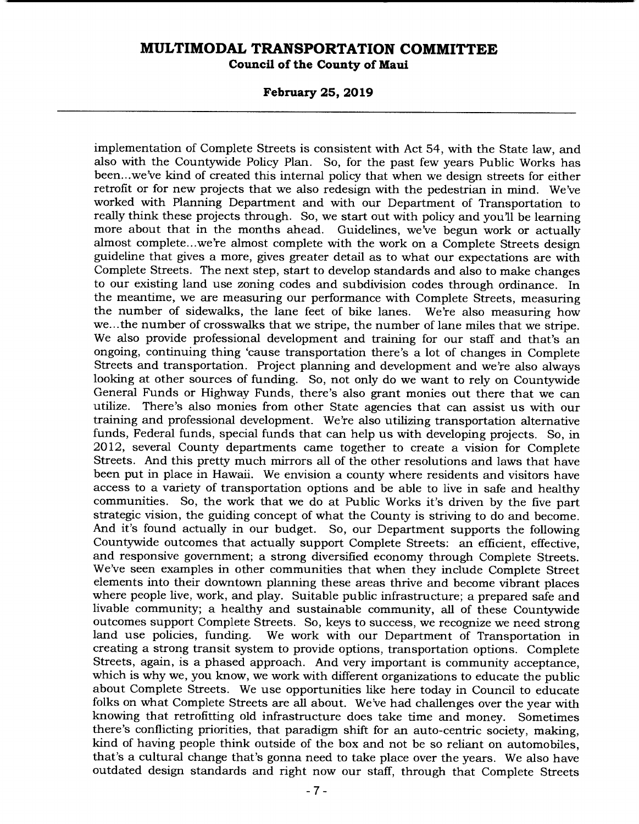**February 25, 2019** 

implementation of Complete Streets is consistent with Act 54, with the State law, and also with the Countywide Policy Plan. So, for the past few years Public Works has been.. .we've kind of created this internal policy that when we design streets for either retrofit or for new projects that we also redesign with the pedestrian in mind. We've worked with Planning Department and with our Department of Transportation to really think these projects through. So, we start out with policy and you'll be learning more about that in the months ahead. Guidelines, we've begun work or actually almost complete.. .we're almost complete with the work on a Complete Streets design guideline that gives a more, gives greater detail as to what our expectations are with Complete Streets. The next step, start to develop standards and also to make changes to our existing land use zoning codes and subdivision codes through ordinance. In the meantime, we are measuring our performance with Complete Streets, measuring the number of sidewalks, the lane feet of bike lanes. We're also measuring how we... the number of crosswalks that we stripe, the number of lane miles that we stripe. We also provide professional development and training for our staff and that's an ongoing, continuing thing 'cause transportation there's a lot of changes in Complete Streets and transportation. Project planning and development and we're also always looking at other sources of funding. So, not only do we want to rely on Countywide General Funds or Highway Funds, there's also grant monies out there that we can utilize. There's also monies from other State agencies that can assist us with our training and professional development. We're also utilizing transportation alternative funds, Federal funds, special funds that can help us with developing projects. So, in 2012, several County departments came together to create a vision for Complete Streets. And this pretty much mirrors all of the other resolutions and laws that have been put in place in Hawaii. We envision a county where residents and visitors have access to a variety of transportation options and be able to live in safe and healthy communities. So, the work that we do at Public Works it's driven by the five part strategic vision, the guiding concept of what the County is striving to do and become. And it's found actually in our budget. So, our Department supports the following Countywide outcomes that actually support Complete Streets: an efficient, effective, and responsive government; a strong diversified economy through Complete Streets. We've seen examples in other communities that when they include Complete Street elements into their downtown planning these areas thrive and become vibrant places where people live, work, and play. Suitable public infrastructure; a prepared safe and livable community; a healthy and sustainable community, all of these Countywide outcomes support Complete Streets. So, keys to success, we recognize we need strong land use policies, funding. We work with our Department of Transportation in creating a strong transit system to provide options, transportation options. Complete Streets, again, is a phased approach. And very important is community acceptance, which is why we, you know, we work with different organizations to educate the public about Complete Streets. We use opportunities like here today in Council to educate folks on what Complete Streets are all about. We've had challenges over the year with knowing that retrofitting old infrastructure does take time and money. Sometimes there's conflicting priorities, that paradigm shift for an auto-centric society, making, kind of having people think outside of the box and not be so reliant on automobiles, that's a cultural change that's gonna need to take place over the years. We also have outdated design standards and right now our staff, through that Complete Streets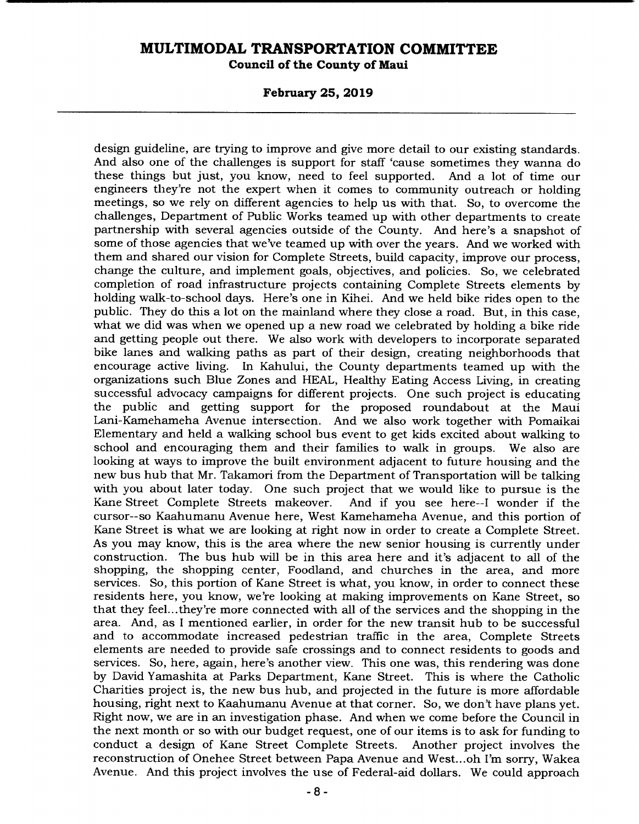**February 25, 2019** 

design guideline, are trying to improve and give more detail to our existing standards. And also one of the challenges is support for staff 'cause sometimes they wanna do these things but just, you know, need to feel supported. And a lot of time our engineers they're not the expert when it comes to community outreach or holding meetings, so we rely on different agencies to help us with that. So, to overcome the challenges, Department of Public Works teamed up with other departments to create partnership with several agencies outside of the County. And here's a snapshot of some of those agencies that we've teamed up with over the years. And we worked with them and shared our vision for Complete Streets, build capacity, improve our process, change the culture, and implement goals, objectives, and policies. So, we celebrated completion of road infrastructure projects containing Complete Streets elements by holding walk-to-school days. Here's one in Kihei. And we held bike rides open to the public. They do this a lot on the mainland where they close a road. But, in this case, what we did was when we opened up a new road we celebrated by holding a bike ride and getting people out there. We also work with developers to incorporate separated bike lanes and walking paths as part of their design, creating neighborhoods that encourage active living. In Kahului, the County departments teamed up with the organizations such Blue Zones and HEAL, Healthy Eating Access Living, in creating successful advocacy campaigns for different projects. One such project is educating the public and getting support for the proposed roundabout at the Maui Lani-Kamehameha Avenue intersection. And we also work together with Pomaikai Elementary and held a walking school bus event to get kids excited about walking to school and encouraging them and their families to walk in groups. We also are looking at ways to improve the built environment adjacent to future housing and the new bus hub that Mr. Takamori from the Department of Transportation will be talking with you about later today. One such project that we would like to pursue is the<br>Kane Street Complete Streets makeover. And if you see here--I wonder if the And if you see here--I wonder if the cursor--so Kaahumanu Avenue here, West Kamehameha Avenue, and this portion of Kane Street is what we are looking at right now in order to create a Complete Street. As you may know, this is the area where the new senior housing is currently under construction. The bus hub will be in this area here and it's adjacent to all of the shopping, the shopping center, Foodland, and churches in the area, and more services. So, this portion of Kane Street is what, you know, in order to connect these residents here, you know, we're looking at making improvements on Kane Street, so that they feel... they're more connected with all of the services and the shopping in the area. And, as I mentioned earlier, in order for the new transit hub to be successful and to accommodate increased pedestrian traffic in the area, Complete Streets elements are needed to provide safe crossings and to connect residents to goods and services. So, here, again, here's another view. This one was, this rendering was done by David Yamashita at Parks Department, Kane Street. This is where the Catholic Charities project is, the new bus hub, and projected in the future is more affordable housing, right next to Kaahumanu Avenue at that corner. So, we don't have plans yet. Right now, we are in an investigation phase. And when we come before the Council in the next month or so with our budget request, one of our items is to ask for funding to conduct a design of Kane Street Complete Streets. Another project involves the reconstruction of Onehee Street between Papa Avenue and West... oh I'm sorry, Wakea Avenue. And this project involves the use of Federal-aid dollars. We could approach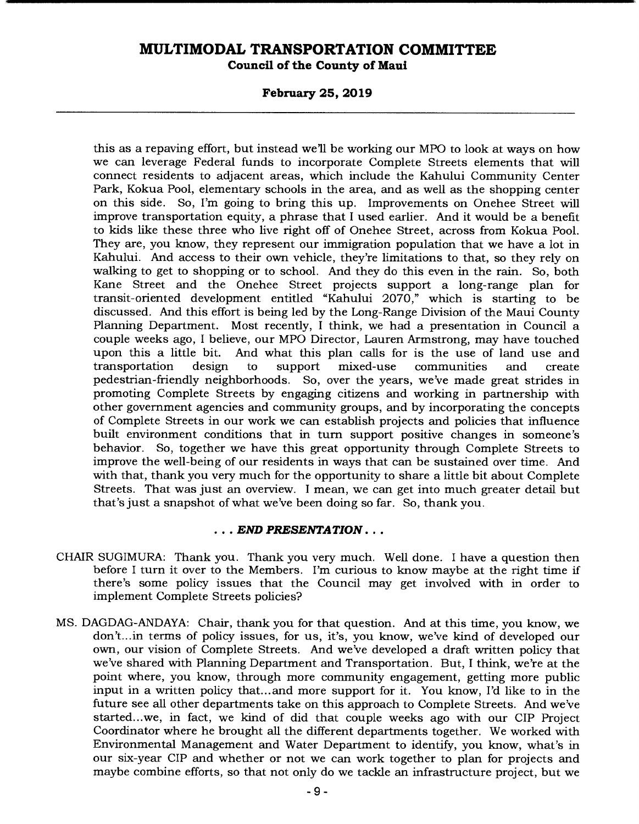### **February 25, 2019**

this as a repaving effort, but instead well be working our MPO to look at ways on how we can leverage Federal funds to incorporate Complete Streets elements that will connect residents to adjacent areas, which include the Kahului Community Center Park, Kokua Pool, elementary schools in the area, and as well as the shopping center on this side. So, I'm going to bring this up. Improvements on Onehee Street will improve transportation equity, a phrase that I used earlier. And it would be a benefit to kids like these three who live right off of Onehee Street, across from Kokua Pool. They are, you know, they represent our immigration population that we have a lot in Kahului. And access to their own vehicle, they're limitations to that, so they rely on walking to get to shopping or to school. And they do this even in the rain. So, both Kane Street and the Onehee Street projects support a long-range plan for transit-oriented development entitled "Kahului 2070," which is starting to be discussed. And this effort is being led by the Long-Range Division of the Maui County Planning Department. Most recently, I think, we had a presentation in Council a couple weeks ago, I believe, our MPO Director, Lauren Armstrong, may have touched upon this a little bit. And what this plan calls for is the use of land use and transportation design to support mixed-use communities and create transportation design to support mixed-use communities and create pedestrian-friendly neighborhoods. So, over the years, we've made great strides in promoting Complete Streets by engaging citizens and working in partnership with other government agencies and community groups, and by incorporating the concepts of Complete Streets in our work we can establish projects and policies that influence built environment conditions that in turn support positive changes in someone's behavior. So, together we have this great opportunity through Complete Streets to improve the well-being of our residents in ways that can be sustained over time. And with that, thank you very much for the opportunity to share a little bit about Complete Streets. That was just an overview. I mean, we can get into much greater detail but that's just a snapshot of what we've been doing so far. So, thank you.

### *• END PRESENTATION...*

- CHAIR SUGIMURA: Thank you. Thank you very much. Well done. I have a question then before I turn it over to the Members. I'm curious to know maybe at the right time if there's some policy issues that the Council may get involved with in order to implement Complete Streets policies?
- MS. DAGDAG-ANDAYA: Chair, thank you for that question. And at this time, you know, we don't.. .in terms of policy issues, for us, it's, you know, we've kind of developed our own, our vision of Complete Streets. And we've developed a draft written policy that we've shared with Planning Department and Transportation. But, I think, we're at the point where, you know, through more community engagement, getting more public input in a written policy that... and more support for it. You know, I'd like to in the future see all other departments take on this approach to Complete Streets. And we've started.. .we, in fact, we kind of did that couple weeks ago with our CIP Project Coordinator where he brought all the different departments together. We worked with Environmental Management and Water Department to identify, you know, what's in our six-year CIP and whether or not we can work together to plan for projects and maybe combine efforts, so that not only do we tackle an infrastructure project, but we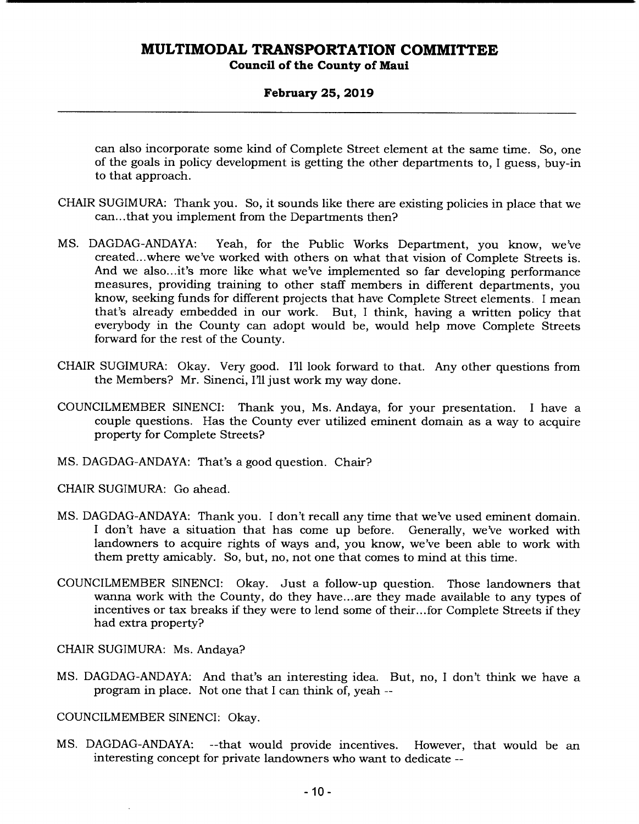### **February 25, 2019**

can also incorporate some kind of Complete Street element at the same time. So, one of the goals in policy development is getting the other departments to, I guess, buy-in to that approach.

- CHAIR SUGIMURA: Thank you. So, it sounds like there are existing policies in place that we can... that you implement from the Departments then?
- MS. DAGDAG-ANDAYA: Yeah, for the Public Works Department, you know, we've created.. .where we've worked with others on what that vision of Complete Streets is. And we also.. .it's more like what we've implemented so far developing performance measures, providing training to other staff members in different departments, you know, seeking funds for different projects that have Complete Street elements. I mean that's already embedded in our work. But, I think, having a written policy that everybody in the County can adopt would be, would help move Complete Streets forward for the rest of the County.
- CHAIR SUGIMURA: Okay. Very good. I'll look forward to that. Any other questions from the Members? Mr. Sinenci, I'll just work my way done.
- COUNCILMEMBER SINENCI: Thank you, Ms. Andaya, for your presentation. I have a couple questions. Has the County ever utilized eminent domain as a way to acquire property for Complete Streets?
- MS. DAGDAG-ANDAYA: That's a good question. Chair?

CHAIR SUGIMURA: Go ahead.

- MS. DAGDAG-ANDAYA: Thank you. I don't recall any time that we've used eminent domain. I don't have a situation that has come up before. Generally, we've worked with landowners to acquire rights of ways and, you know, we've been able to work with them pretty amicably. So, but, no, not one that comes to mind at this time.
- COUNCILMEMBER SINENCI: Okay. Just a follow-up question. Those landowners that wanna work with the County, do they have.., are they made available to any types of incentives or tax breaks if they were to lend some of their... for Complete Streets if they had extra property?

CHAIR SUGIMURA: Ms. Andaya?

MS. DAGDAG-ANDAYA: And that's an interesting idea. But, no, I don't think we have a program in place. Not one that I can think of, yeah --

COUNCILMEMBER SINENCI: Okay.

MS. DAGDAG-ANDAYA: --that would provide incentives. However, that would be an interesting concept for private landowners who want to dedicate --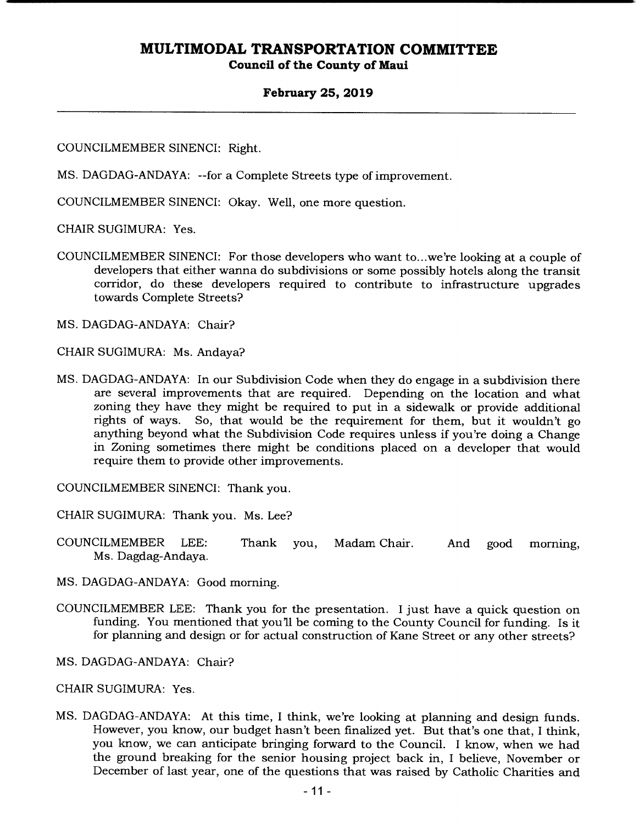### **February 25, 2019**

COUNCILMEMBER SINENCI: Right.

MS. DAGDAG-ANDAYA: --for a Complete Streets type of improvement.

COUNCILMEMBER SINENCI: Okay. Well, one more question.

CHAIR SUGIMURA: Yes.

COUNCILMEMBER SINENCI: For those developers who want to.. .we're looking at a couple of developers that either wanna do subdivisions or some possibly hotels along the transit corridor, do these developers required to contribute to infrastructure upgrades towards Complete Streets?

MS. DAGDAG-ANDAYA: Chair?

CHAIR SUGIMURA: Ms. Andaya?

MS. DAGDAG-ANDAYA: In our Subdivision Code when they do engage in a subdivision there are several improvements that are required. Depending on the location and what zoning they have they might be required to put in a sidewalk or provide additional rights of ways. So, that would be the requirement for them, but it wouldn't go So, that would be the requirement for them, but it wouldn't go anything beyond what the Subdivision Code requires unless if you're doing a Change in Zoning sometimes there might be conditions placed on a developer that would require them to provide other improvements.

COUNCILMEMBER SINENCI: Thank you.

CHAIR SUGIMURA: Thank you. Ms. Lee?

- COUNCILMEMBER LEE: Thank you, Madam Chair. And good morning, Ms. Dagdag-Andaya.
- MS. DAGDAG-ANDAYA: Good morning.
- COUNCILMEMBER LEE: Thank you for the presentation. I just have a quick question on funding. You mentioned that you'll be coming to the County Council for funding. Is it for planning and design or for actual construction of Kane Street or any other streets?
- MS. DAGDAG-ANDAYA: Chair?

CHAIR SUGIMURA: Yes.

MS. DAGDAG-ANDAYA: At this time, I think, we're looking at planning and design funds. However, you know, our budget hasn't been finalized yet. But that's one that, I think, you know, we can anticipate bringing forward to the Council. I know, when we had the ground breaking for the senior housing project back in, I believe, November or December of last year, one of the questions that was raised by Catholic Charities and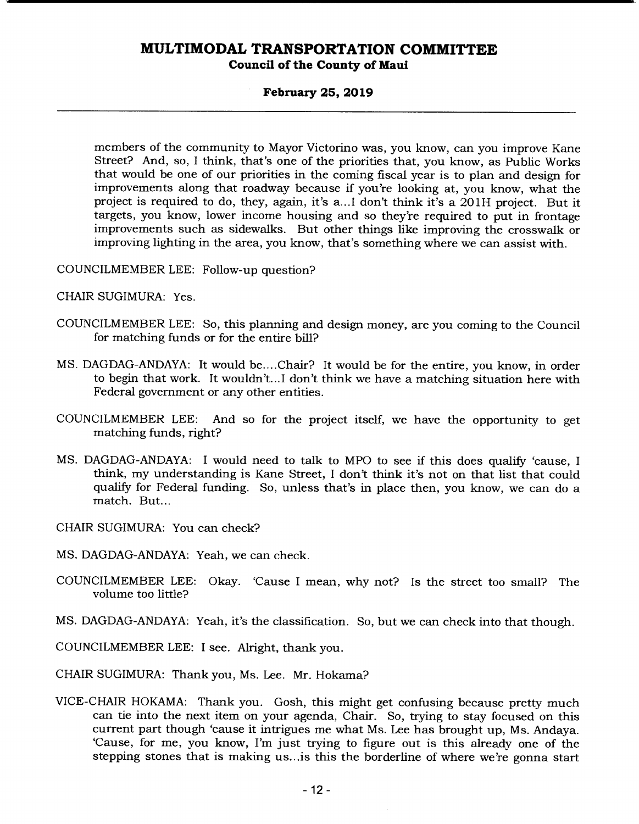### **February 25, 2019**

members of the community to Mayor Victorino was, you know, can you improve Kane Street? And, so, I think, that's one of the priorities that, you know, as Public Works that would be one of our priorities in the coming fiscal year is to plan and design for improvements along that roadway because if you're looking at, you know, what the project is required to do, they, again, it's a ... I don't think it's a 201H project. But it targets, you know, lower income housing and so they're required to put in frontage improvements such as sidewalks. But other things like improving the crosswalk or improving lighting in the area, you know, that's something where we can assist with.

COUNCILMEMBER LEE: Follow-up question?

CHAIR SUGIMURA: Yes.

- COUNCILMEMBER LEE: So, this planning and design money, are you coming to the Council for matching funds or for the entire bill?
- MS. DAGDAG-ANDAYA: It would be....Chair? It would be for the entire, you know, in order to begin that work. It wouldn't... I don't think we have a matching situation here with Federal government or any other entities.
- COUNCILMEMBER LEE: And so for the project itself, we have the opportunity to get matching funds, right?
- MS. DAGDAG-ANDAYA: I would need to talk to MPO to see if this does qualify 'cause, I think, my understanding is Kane Street, I don't think it's not on that list that could qualify for Federal funding. So, unless that's in place then, you know, we can do a match. But...

CHAIR SUGIMURA: You can check?

- MS. DAGDAG-ANDAYA: Yeah, we can check.
- COUNCILMEMBER LEE: Okay. 'Cause I mean, why not? Is the street too small? The volume too little?
- MS. DAGDAG-ANDAYA: Yeah, it's the classification. So, but we can check into that though.

COUNCILMEMBER LEE: I see. Alright, thank you.

CHAIR SUGIMURA: Thank you, Ms. Lee. Mr. Hokama?

VICE-CHAIR HOKAMA: Thank you. Gosh, this might get confusing because pretty much can tie into the next item on your agenda, Chair. So, trying to stay focused on this current part though 'cause it intrigues me what Ms. Lee has brought up, Ms. Andaya. 'Cause, for me, you know, I'm just trying to figure out is this already one of the stepping stones that is making us.. .is this the borderline of where we're gonna start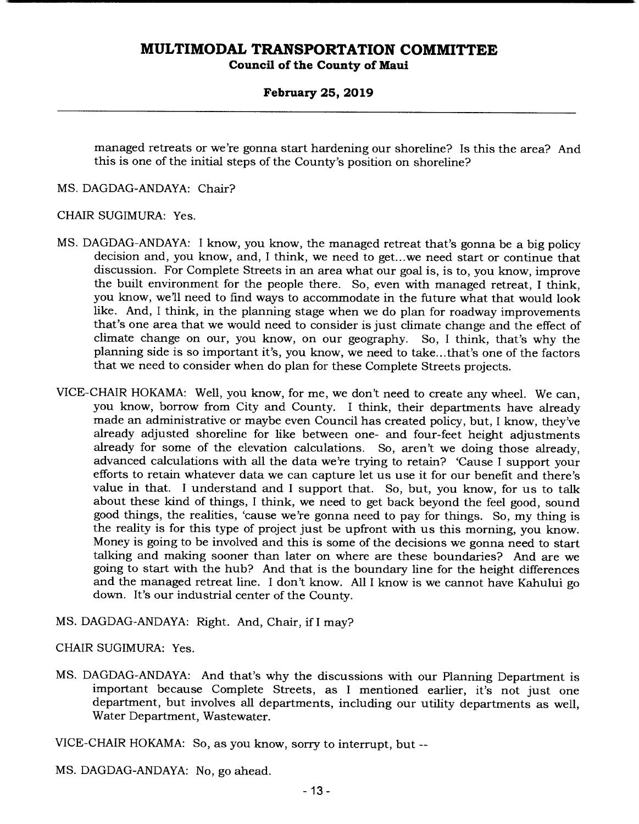### **February 25, 2019**

managed retreats or we're gonna start hardening our shoreline? Is this the area? And this is one of the initial steps of the County's position on shoreline?

MS. DAGDAG-ANDAYA: Chair?

### CHAIR SUGIMURA: Yes.

- MS. DAGDAG-ANDAYA: I know, you know, the managed retreat that's gonna be a big policy decision and, you know, and, I think, we need to get.. .we need start or continue that discussion. For Complete Streets in an area what our goal is, is to, you know, improve the built environment for the people there. So, even with managed retreat, I think, you know, we'll need to find ways to accommodate in the future what that would look like. And, I think, in the planning stage when we do plan for roadway improvements that's one area that we would need to consider is just climate change and the effect of climate change on our, you know, on our geography. So, I think, that's why the planning side is so important it's, you know, we need to take... that's one of the factors that we need to consider when do plan for these Complete Streets projects.
- VICE-CHAIR HOKAMA: Well, you know, for me, we don't need to create any wheel. We can, you know, borrow from City and County. I think, their departments have already made an administrative or maybe even Council has created policy, but, I know, they've already adjusted shoreline for like between one- and four-feet height adjustments already for some of the elevation calculations. So, aren't we doing those already, advanced calculations with all the data we're trying to retain? 'Cause I support your efforts to retain whatever data we can capture let us use it for our benefit and there's value in that. I understand and I support that. So, but, you know, for us to talk about these kind of things, I think, we need to get back beyond the feel good, sound good things, the realities, 'cause we're gonna need to pay for things. So, my thing is the reality is for this type of project just be upfront with us this morning, you know. Money is going to be involved and this is some of the decisions we gonna need to start talking and making sooner than later on where are these boundaries? And are we going to start with the hub? And that is the boundary line for the height differences and the managed retreat line. I don't know. All I know is we cannot have Kahului go down. It's our industrial center of the County.
- MS. DAGDAG-ANDAYA: Right. And, Chair, if I may?

## CHAIR SUGIMURA: Yes.

MS. DAGDAG-ANDAYA: And that's why the discussions with our Planning Department is important because Complete Streets, as I mentioned earlier, it's not just one department, but involves all departments, including our utility departments as well, Water Department, Wastewater.

VICE-CHAIR HOKAMA: So, as you know, sorry to interrupt, but --

MS. DAGDAG-ANDAYA: No, go ahead.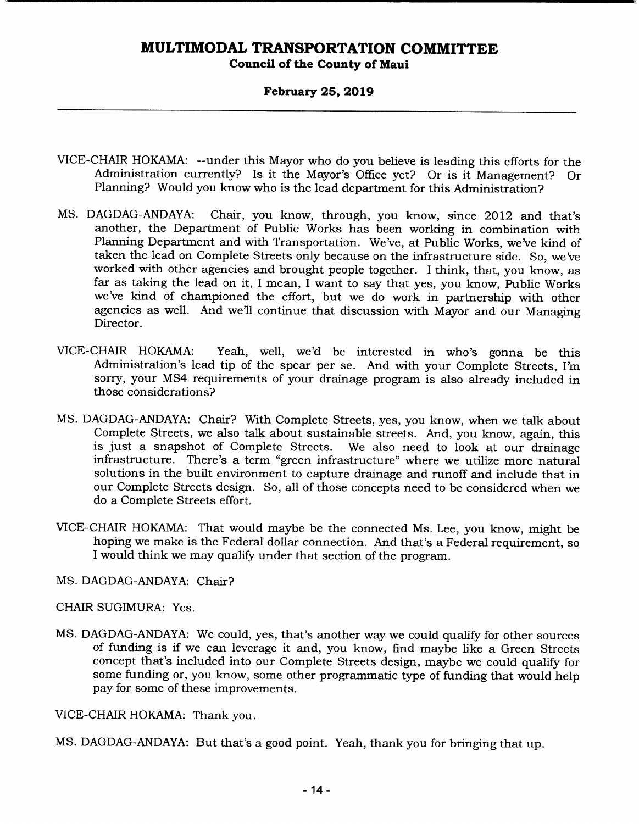**Council of the County of Maui** 

### **February 25, 2019**

- VICE-CHAIR HOKAMA: --under this Mayor who do you believe is leading this efforts for the Administration currently? Is it the Mayor's Office yet? Or is it Management? Or Planning? Would you know who is the lead department for this Administration?
- MS. DAGDAG-ANDAYA: Chair, you know, through, you know, since 2012 and that's another, the Department of Public Works has been working in combination with Planning Department and with Transportation. We've, at Public Works, we've kind of taken the lead on Complete Streets only because on the infrastructure side. So, we've worked with other agencies and brought people together. I think, that, you know, as far as taking the lead on it, I mean, I want to say that yes, you know, Public Works we've kind of championed the effort, but we do work in partnership with other agencies as well. And we'll continue that discussion with Mayor and our Managing Director.
- VICE-CHAIR HOKAMA: Yeah, well, we'd be interested in who's gonna be this Administration's lead tip of the spear per se. And with your Complete Streets, I'm sorry, your MS4 requirements of your drainage program is also already included in those considerations?
- MS. DAGDAG-ANDAYA: Chair? With Complete Streets, yes, you know, when we talk about Complete Streets, we also talk about sustainable streets. And, you know, again, this is just a snapshot of Complete Streets. We also need to look at our drainage infrastructure. There's a term "green infrastructure" where we utilize more natural solutions in the built environment to capture drainage and runoff and include that in our Complete Streets design. So, all of those concepts need to be considered when we do a Complete Streets effort.
- VICE-CHAIR HOKAMA: That would maybe be the connected Ms. Lee, you know, might be hoping we make is the Federal dollar connection. And that's a Federal requirement, so I would think we may qualify under that section of the program.
- MS. DAGDAG-ANDAYA: Chair?
- CHAIR SUGIMURA: Yes.
- MS. DAGDAG-ANDAYA: We could, yes, that's another way we could qualify for other sources of funding is if we can leverage it and, you know, find maybe like a Green Streets concept that's included into our Complete Streets design, maybe we could qualify for some funding or, you know, some other programmatic type of funding that would help pay for some of these improvements.
- VICE-CHAIR HOKAMA: Thank you.
- MS. DAGDAG-ANDAYA: But that's a good point. Yeah, thank you for bringing that up.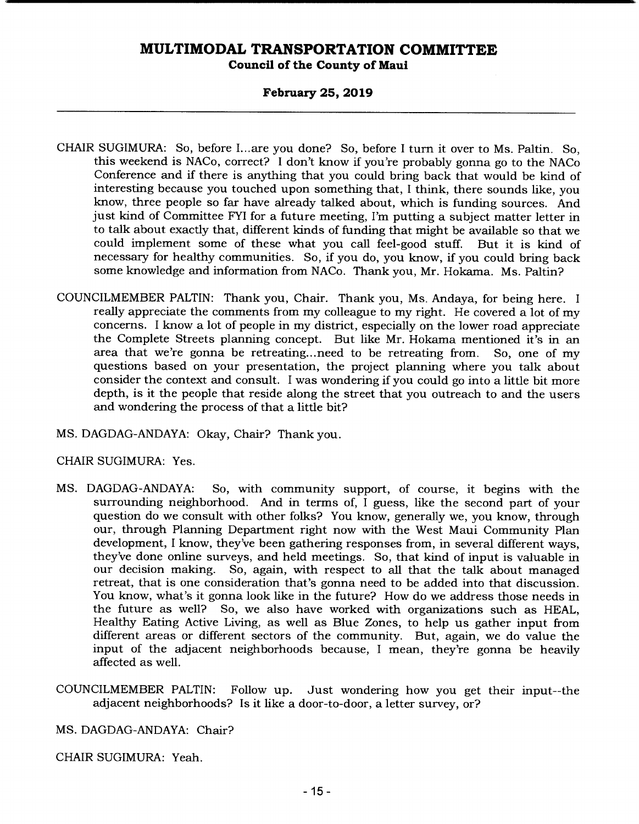### **February 25, 2019**

- CHAIR SUGIMURA: So, before I... are you done? So, before I turn it over to Ms. Paltin. So, this weekend is NACo, correct? I don't know if you're probably gonna go to the NACo Conference and if there is anything that you could bring back that would be kind of interesting because you touched upon something that, I think, there sounds like, you know, three people so far have already talked about, which is funding sources. And just kind of Committee FYI for a future meeting, I'm putting a subject matter letter in to talk about exactly that, different kinds of funding that might be available so that we could implement some of these what you call feel-good stuff. But it is kind of necessary for healthy communities. So, if you do, you know, if you could bring back some knowledge and information from NACo. Thank you, Mr. Hokama. Ms. Paltin?
- COUNCILMEMBER PALTIN: Thank you, Chair. Thank you, Ms. Andaya, for being here. I really appreciate the comments from my colleague to my right. He covered a lot of my concerns. I know a lot of people in my district, especially on the lower road appreciate the Complete Streets planning concept. But like Mr. Hokama mentioned it's in an area that we're gonna be retreating... need to be retreating from. So, one of my questions based on your presentation, the project planning where you talk about consider the context and consult. I was wondering if you could go into a little bit more depth, is it the people that reside along the street that you outreach to and the users and wondering the process of that a little bit?
- MS. DAGDAG-ANDAYA: Okay, Chair? Thank you.

CHAIR SUGIMURA: Yes.

- MS. DAGDAG-ANDAYA: So, with community support, of course, it begins with the surrounding neighborhood. And in terms of, I guess, like the second part of your question do we consult with other folks? You know, generally we, you know, through our, through Planning Department right now with the West Maui Community Plan development, I know, they've been gathering responses from, in several different ways, they've done online surveys, and held meetings. So, that kind of input is valuable in our decision making. So, again, with respect to all that the talk about managed retreat, that is one consideration that's gonna need to be added into that discussion. You know, what's it gonna look like in the future? How do we address those needs in the future as well? So, we also have worked with organizations such as HEAL, Healthy Eating Active Living, as well as Blue Zones, to help us gather input from different areas or different sectors of the community. But, again, we do value the input of the adjacent neighborhoods because, I mean, they're gonna be heavily affected as well.
- COUNCILMEMBER PALTIN: Follow up. Just wondering how you get their input--the adjacent neighborhoods? Is it like a door-to-door, a letter survey, or?

MS. DAGDAG-ANDAYA: Chair?

CHAIR SUGIMURA: Yeah.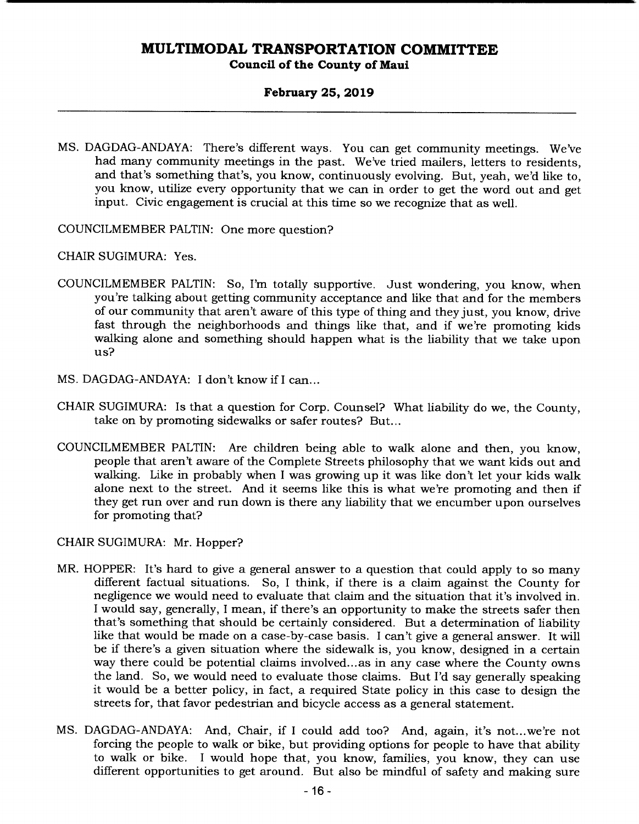### **February 25, 2019**

MS. DAGDAG-ANDAYA: There's different ways. You can get community meetings. We've had many community meetings in the past. We've tried mailers, letters to residents, and that's something that's, you know, continuously evolving. But, yeah, we'd like to, you know, utilize every opportunity that we can in order to get the word out and get input. Civic engagement is crucial at this time so we recognize that as well.

COUNCILMEMBER PALTIN: One more question?

CHAIR SUGIMURA: Yes.

- COUNCILMEMBER PALTIN: So, I'm totally supportive. Just wondering, you know, when you're talking about getting community acceptance and like that and for the members of our community that aren't aware of this type of thing and they just, you know, drive fast through the neighborhoods and things like that, and if we're promoting kids walking alone and something should happen what is the liability that we take upon us?
- MS. DAGDAG-ANDAYA: I don't know if I can...
- CHAIR SUGIMURA: Is that a question for Corp. Counsel? What liability do we, the County, take on by promoting sidewalks or safer routes? But...
- COUNCILMEMBER PALTIN: Are children being able to walk alone and then, you know, people that aren't aware of the Complete Streets philosophy that we want kids out and walking. Like in probably when I was growing up it was like don't let your kids walk alone next to the street. And it seems like this is what we're promoting and then if they get run over and run down is there any liability that we encumber upon ourselves for promoting that?

CHAIR SUGIMURA: Mr. Hopper?

- MR. HOPPER: It's hard to give a general answer to a question that could apply to so many different factual situations. So, I think, if there is a claim against the County for negligence we would need to evaluate that claim and the situation that it's involved in. I would say, generally, I mean, if there's an opportunity to make the streets safer then that's something that should be certainly considered. But a determination of liability like that would be made on a case-by-case basis. I can't give a general answer. It will be if there's a given situation where the sidewalk is, you know, designed in a certain way there could be potential claims involved.., as in any case where the County owns the land. So, we would need to evaluate those claims. But I'd say generally speaking it would be a better policy, in fact, a required State policy in this case to design the streets for, that favor pedestrian and bicycle access as a general statement.
- MS. DAGDAG-ANDAYA: And, Chair, if I could add too? And, again, it's not...we're not forcing the people to walk or bike, but providing options for people to have that ability to walk or bike. I would hope that, you know, families, you know, they can use different opportunities to get around. But also be mindful of safety and making sure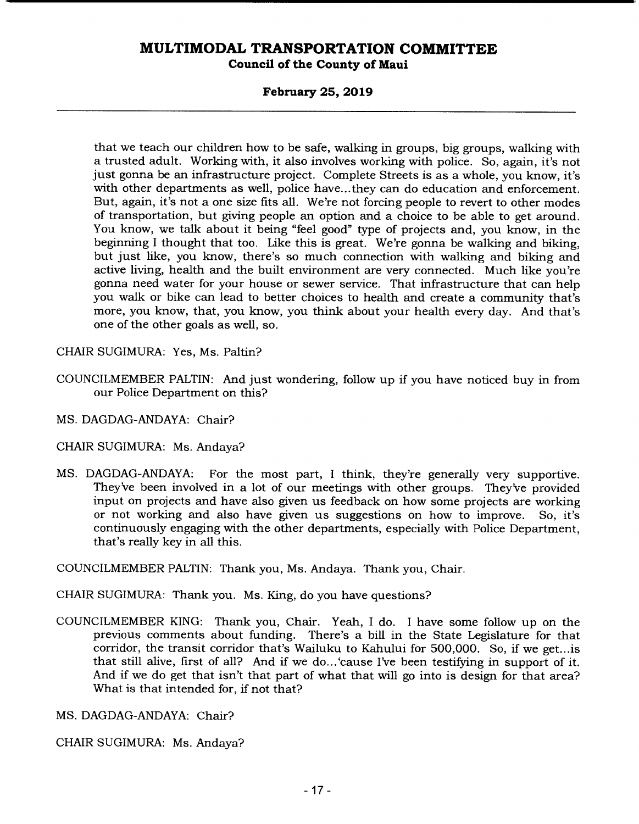### **February 25, 2019**

that we teach our children how to be safe, walking in groups, big groups, walking with a trusted adult. Working with, it also involves working with police. So, again, it's not just gonna be an infrastructure project. Complete Streets is as a whole, you know, it's with other departments as well, police have.., they can do education and enforcement. But, again, it's not a one size fits all. We're not forcing people to revert to other modes of transportation, but giving people an option and a choice to be able to get around. You know, we talk about it being "feel good" type of projects and, you know, in the beginning I thought that too. Like this is great. We're gonna be walking and biking, but just like, you know, there's so much connection with walking and biking and active living, health and the built environment are very connected. Much like you're gonna need water for your house or sewer service. That infrastructure that can help you walk or bike can lead to better choices to health and create a community that's more, you know, that, you know, you think about your health every day. And that's one of the other goals as well, so.

CHAIR SUGIMURA: Yes, Ms. Paltin?

- COUNCILMEMBER PALTIN: And just wondering, follow up if you have noticed buy in from our Police Department on this?
- MS. DAGDAG-ANDAYA: Chair?
- CHAIR SUGIMURA: Ms. Andaya?
- MS. DAGDAG-ANDAYA: For the most part, I think, they're generally very supportive. They've been involved in a lot of our meetings with other groups. They've provided input on projects and have also given us feedback on how some projects are working or not working and also have given us suggestions on how to improve. So, it's continuously engaging with the other departments, especially with Police Department, that's really key in all this.

COUNCILMEMBER PALTIN: Thank you, Ms. Andaya. Thank you, Chair.

CHAIR SUGIMURA: Thank you. Ms. King, do you have questions?

COUNCILMEMBER KING: Thank you, Chair. Yeah, I do. I have some follow up on the previous comments about funding. There's a bill in the State Legislature for that corridor, the transit corridor that's Wailuku to Kahului for 500,000. So, if we get.. .is that still alive, first of all? And if we do... 'cause I've been testifying in support of it. And if we do get that isn't that part of what that will go into is design for that area? What is that intended for, if not that?

MS. DAGDAG-ANDAYA: Chair?

CHAIR SUGIMURA: Ms. Andaya?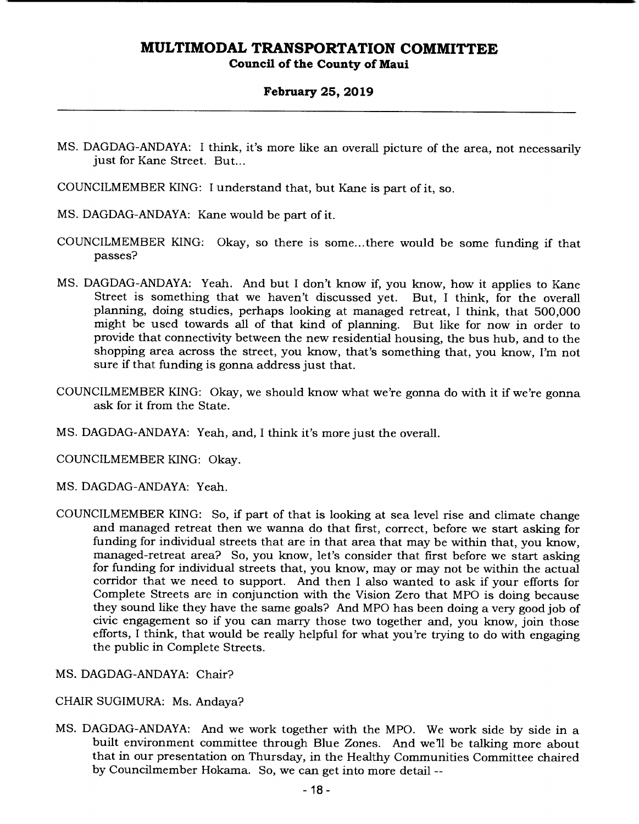### **February 25, 2019**

- MS. DAGDAG-ANDAYA: I think, it's more like an overall picture of the area, not necessarily just for Kane Street. But...
- COUNCILMEMBER KING: I understand that, but Kane is part of it, so.
- MS. DAGDAG-ANDAYA: Kane would be part of it.
- COUNCILMEMBER KING: Okay, so there is some... there would be some funding if that passes?
- MS. DAGDAG-ANDAYA: Yeah. And but I don't know if, you know, how it applies to Kane Street is something that we haven't discussed yet. But, I think, for the overall planning, doing studies, perhaps looking at managed retreat, I think, that 500,000 might be used towards all of that kind of planning. But like for now in order to provide that connectivity between the new residential housing, the bus hub, and to the shopping area across the street, you know, that's something that, you know, I'm not sure if that funding is gonna address just that.
- COUNCILMEMBER KING: Okay, we should know what we're gonna do with it if we're gonna ask for it from the State.
- MS. DAGDAG-ANDAYA: Yeah, and, I think it's more just the overall.

COUNCILMEMBER KING: Okay.

- MS. DAGDAG-ANDAYA: Yeah.
- COUNCILMEMBER KING: So, if part of that is looking at sea level rise and climate change and managed retreat then we wanna do that first, correct, before we start asking for funding for individual streets that are in that area that may be within that, you know, managed-retreat area? So, you know, let's consider that first before we start asking for funding for individual streets that, you know, may or may not be within the actual corridor that we need to support. And then I also wanted to ask if your efforts for Complete Streets are in conjunction with the Vision Zero that MPO is doing because they sound like they have the same goals? And MPO has been doing a very good job of civic engagement so if you can marry those two together and, you know, join those efforts, I think, that would be really helpful for what you're trying to do with engaging the public in Complete Streets.

MS. DAGDAG-ANDAYA: Chair?

CHAIR SUGIMURA: Ms. Andaya?

MS. DAGDAG-ANDAYA: And we work together with the MPO. We work side by side in a built environment committee through Blue Zones. And we'll be talking more about that in our presentation on Thursday, in the Healthy Communities Committee chaired by Councilmember Hokama. So, we can get into more detail --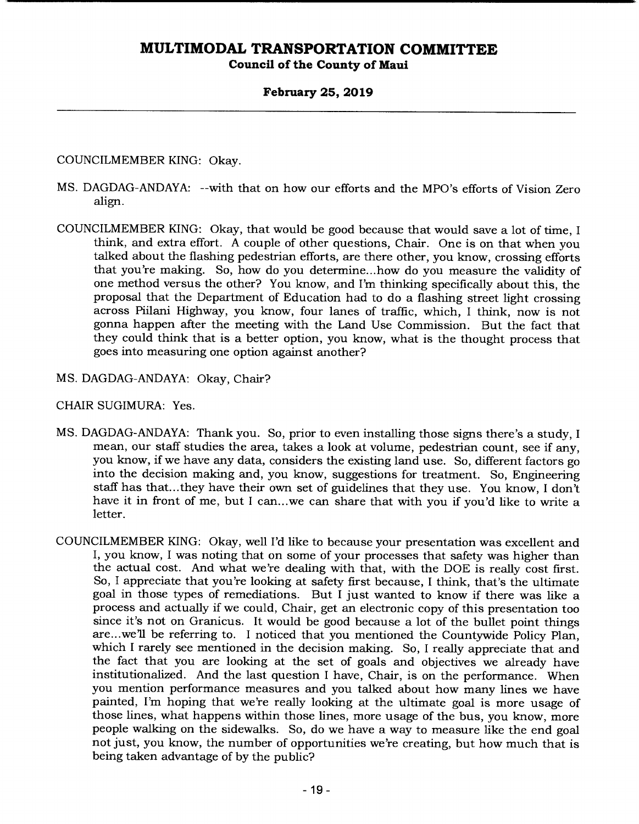### **February 25, 2019**

### COUNCILMEMBER KING: Okay.

- MS. DAGDAG-ANDAYA: --with that on how our efforts and the MPO's efforts of Vision Zero align.
- COUNCILMEMBER KING: Okay, that would be good because that would save a lot of time, I think, and extra effort. A couple of other questions, Chair. One is on that when you talked about the flashing pedestrian efforts, are there other, you know, crossing efforts that you're making. So, how do you determine.. .how do you measure the validity of one method versus the other? You know, and I'm thinking specifically about this, the proposal that the Department of Education had to do a flashing street light crossing across Piilani Highway, you know, four lanes of traffic, which, I think, now is not gonna happen after the meeting with the Land Use Commission. But the fact that they could think that is a better option, you know, what is the thought process that goes into measuring one option against another?
- MS. DAGDAG-ANDAYA: Okay, Chair?

CHAIR SUGIMURA: Yes.

- MS. DAGDAG-ANDAYA: Thank you. So, prior to even installing those signs there's a study, I mean, our staff studies the area, takes a look at volume, pedestrian count, see if any, you know, if we have any data, considers the existing land use. So, different factors go into the decision making and, you know, suggestions for treatment. So, Engineering staff has that... they have their own set of guidelines that they use. You know, I don't have it in front of me, but I can...we can share that with you if you'd like to write a letter.
- COUNCILMEMBER KING: Okay, well I'd like to because your presentation was excellent and I, you know, I was noting that on some of your processes that safety was higher than the actual cost. And what we're dealing with that, with the DOE is really cost first. So, I appreciate that you're looking at safety first because, I think, that's the ultimate goal in those types of remediations. But I just wanted to know if there was like a process and actually if we could, Chair, get an electronic copy of this presentation too since it's not on Granicus. It would be good because a lot of the bullet point things are.. .we'll be referring to. I noticed that you mentioned the Countywide Policy Plan, which I rarely see mentioned in the decision making. So, I really appreciate that and the fact that you are looking at the set of goals and objectives we already have institutionalized. And the last question I have, Chair, is on the performance. When you mention performance measures and you talked about how many lines we have painted, I'm hoping that we're really looking at the ultimate goal is more usage of those lines, what happens within those lines, more usage of the bus, you know, more people walking on the sidewalks. So, do we have a way to measure like the end goal not just, you know, the number of opportunities we're creating, but how much that is being taken advantage of by the public?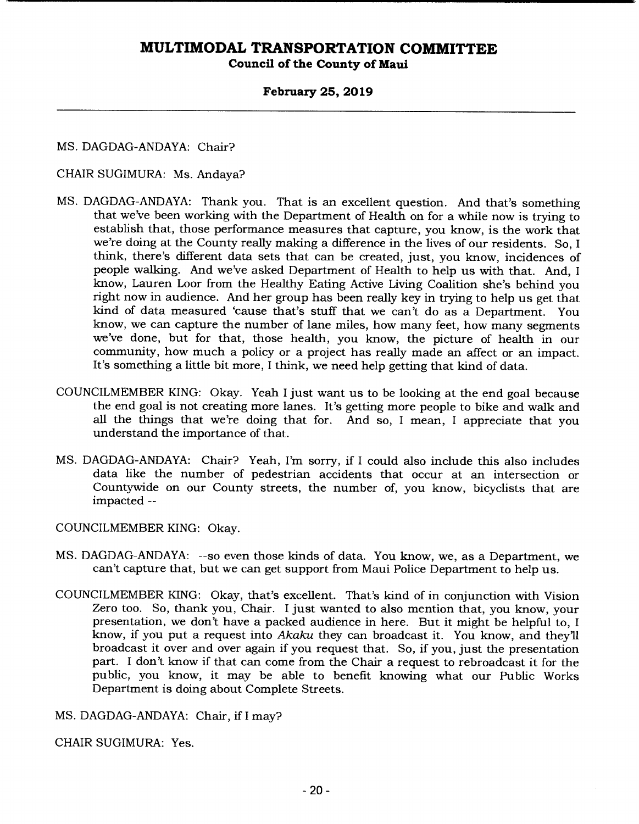**Council of the County of Maui** 

### **February 25, 2019**

MS. DAGDAG-ANDAYA: Chair?

### CHAIR SUGIMURA: Ms. Andaya?

- MS. DAGDAG-ANDAYA: Thank you. That is an excellent question. And that's something that we've been working with the Department of Health on for a while now is trying to establish that, those performance measures that capture, you know, is the work that we're doing at the County really making a difference in the lives of our residents. So, I think, there's different data sets that can be created, just, you know, incidences of people walking. And we've asked Department of Health to help us with that. And, I know, Lauren Loor from the Healthy Eating Active Living Coalition she's behind you right now in audience. And her group has been really key in trying to help us get that kind of data measured 'cause that's stuff that we can't do as a Department. You know, we can capture the number of lane miles, how many feet, how many segments we've done, but for that, those health, you know, the picture of health in our community, how much a policy or a project has really made an affect or an impact. It's something a little bit more, I think, we need help getting that kind of data.
- COUNCILMEMBER KING: Okay. Yeah I just want us to be looking at the end goal because the end goal is not creating more lanes. It's getting more people to bike and walk and all the things that we're doing that for. And so, I mean, I appreciate that you understand the importance of that.
- MS. DAGDAG-ANDAYA: Chair? Yeah, I'm sorry, if I could also include this also includes data like the number of pedestrian accidents that occur at an intersection or Countywide on our County streets, the number of, you know, bicyclists that are impacted --

COUNCILMEMBER KING: Okay.

- MS. DAGDAG-ANDAYA: --so even those kinds of data. You know, we, as a Department, we can't capture that, but we can get support from Maui Police Department to help us.
- COUNCILMEMBER KING: Okay, that's excellent. That's kind of in conjunction with Vision Zero too. So, thank you, Chair. I just wanted to also mention that, you know, your presentation, we don't have a packed audience in here. But it might be helpful to, I know, if you put a request into *Akaku* they can broadcast it. You know, and they'll broadcast it over and over again if you request that. So, if you, just the presentation part. I don't know if that can come from the Chair a request to rebroadcast it for the public, you know, it may be able to benefit knowing what our Public Works Department is doing about Complete Streets.

MS. DAGDAG-ANDAYA: Chair, if I may?

CHAIR SUGIMURA: Yes.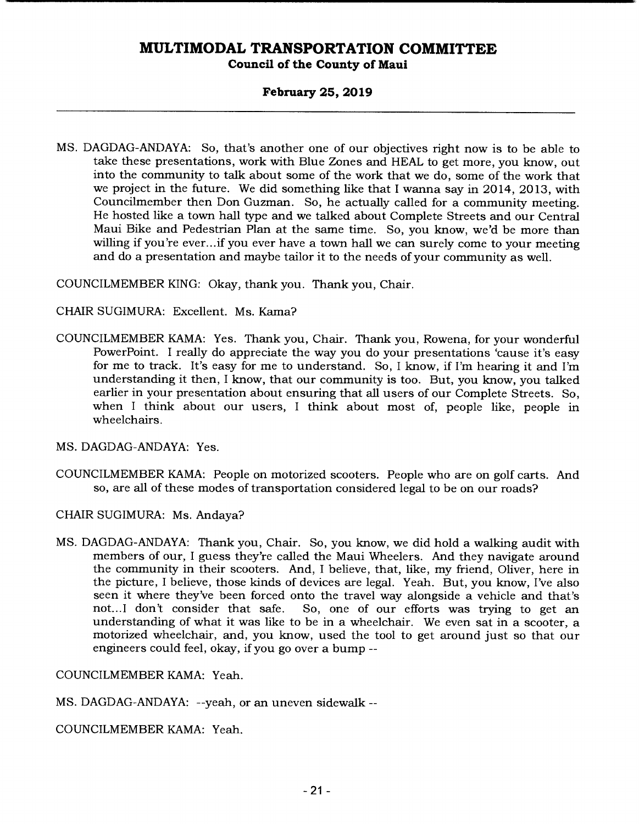**Council of the County of Maui** 

### **February 25, 2019**

MS. DAGDAG-ANDAYA: So, that's another one of our objectives right now is to be able to take these presentations, work with Blue Zones and HEAL to get more, you know, out into the community to talk about some of the work that we do, some of the work that we project in the future. We did something like that I wanna say in 2014, 2013, with Councilmember then Don Guzman. So, he actually called for a community meeting. He hosted like a town hail type and we talked about Complete Streets and our Central Maui Bike and Pedestrian Plan at the same time. So, you know, we'd be more than willing if you're ever...if you ever have a town hall we can surely come to your meeting and do a presentation and maybe tailor it to the needs of your community as well.

COUNCILMEMBER KING: Okay, thank you. Thank you, Chair.

CHAIR SUGIMURA: Excellent. Ms. Kama?

COUNCILMEMBER KAMA: Yes. Thank you, Chair. Thank you, Rowena, for your wonderful PowerPoint. I really do appreciate the way you do your presentations 'cause it's easy for me to track. It's easy for me to understand. So, I know, if I'm hearing it and I'm understanding it then, I know, that our community is too. But, you know, you talked earlier in your presentation about ensuring that all users of our Complete Streets. So, when I think about our users, I think about most of, people like, people in wheelchairs.

MS. DAGDAG-ANDAYA: Yes.

COUNCILMEMBER KAMA: People on motorized scooters. People who are on golf carts. And so, are all of these modes of transportation considered legal to be on our roads?

CHAIR SUGIMURA: Ms. Andaya?

MS. DAGDAG-ANDAYA: Thank you, Chair. So, you know, we did hold a walking audit with members of our, I guess they're called the Maui Wheelers. And they navigate around the community in their scooters. And, I believe, that, like, my friend, Oliver, here in the picture, I believe, those kinds of devices are legal. Yeah. But, you know, I've also seen it where they've been forced onto the travel way alongside a vehicle and that's not...I don't consider that safe. So, one of our efforts was trying to get an So, one of our efforts was trying to get an understanding of what it was like to be in a wheelchair. We even sat in a scooter, a motorized wheelchair, and, you know, used the tool to get around just so that our engineers could feel, okay, if you go over a bump --

COUNCILMEMBER KAMA: Yeah.

MS. DAGDAG-ANDAYA: --yeah, or an uneven sidewalk --

COUNCILMEMBER KAMA: Yeah.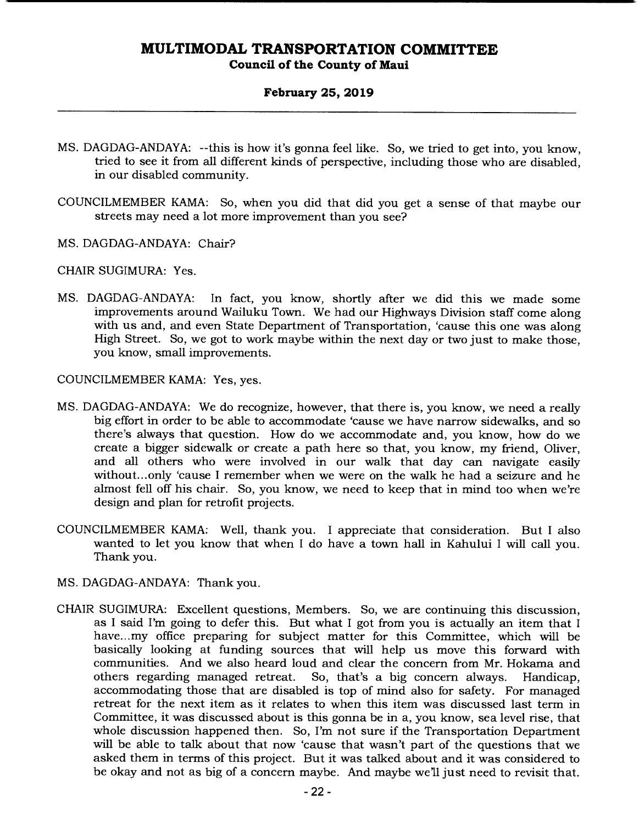### **February 25, 2019**

- MS. DAGDAG-ANDAYA: --this is how it's gonna feel like. So, we tried to get into, you know, tried to see it from all different kinds of perspective, including those who are disabled, in our disabled community.
- COUNCILMEMBER KAMA: So, when you did that did you get a sense of that maybe our streets may need a lot more improvement than you see?
- MS. DAGDAG-ANDAYA: Chair?

CHAIR SUGIMURA: Yes.

MS. DAGDAG-ANDAYA: In fact, you know, shortly after we did this we made some improvements around Wailuku Town. We had our Highways Division staff come along with us and, and even State Department of Transportation, 'cause this one was along High Street. So, we got to work maybe within the next day or two just to make those, you know, small improvements.

COUNCILMEMBER KAMA: Yes, yes.

- MS. DAGDAG-ANDAYA: We do recognize, however, that there is, you know, we need a really big effort in order to be able to accommodate 'cause we have narrow sidewalks, and so there's always that question. How do we accommodate and, you know, how do we create a bigger sidewalk or create a path here so that, you know, my friend, Oliver, and all others who were involved in our walk that day can navigate easily without... only 'cause I remember when we were on the walk he had a seizure and he almost fell off his chair. So, you know, we need to keep that in mind too when we're design and plan for retrofit projects.
- COUNCILMEMBER KAMA: Well, thank you. I appreciate that consideration. But I also wanted to let you know that when I do have a town hall in Kahului I will call you. Thank you.
- MS. DAGDAG-ANDAYA: Thank you.
- CHAIR SUGIMURA: Excellent questions, Members. So, we are continuing this discussion, as I said I'm going to defer this. But what I got from you is actually an item that I have...my office preparing for subject matter for this Committee, which will be basically looking at funding sources that will help us move this forward with communities. And we also heard loud and clear the concern from Mr. Hokama and others regarding managed retreat. So, that's a big concern always. Handicap, accommodating those that are disabled is top of mind also for safety. For managed retreat for the next item as it relates to when this item was discussed last term in Committee, it was discussed about is this gonna be in a, you know, sea level rise, that whole discussion happened then. So, I'm not sure if the Transportation Department will be able to talk about that now 'cause that wasn't part of the questions that we asked them in terms of this project. But it was talked about and it was considered to be okay and not as big of a concern maybe. And maybe we'll just need to revisit that.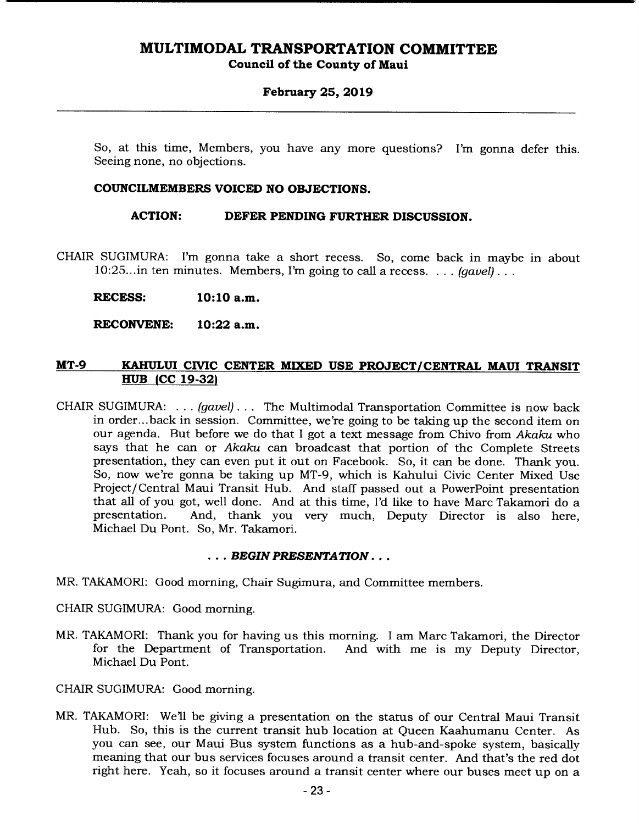**Council of the County of Maui** 

### **February 25, 2019**

So, at this time, Members, you have any more questions? I'm gonna defer this. Seeing none, no objections.

### **COUNCILMEMBERS VOICED NO OBJECTIONS.**

**ACTION: DEFER PENDING FURTHER DISCUSSION.** 

CHAIR SUGIMURA: I'm gonna take a short recess. So, come back in maybe in about 10:25.. .in ten minutes. Members, I'm going to call a recess. . . . *(gavel).* 

**RECESS: 10:10 a.m.** 

**RECONVENE: 10:22 a.m.** 

### **MT-9 KAHULUI CIVIC CENTER MIXED USE PROJECT/CENTRAL MAUI TRANSIT HUB** (CC 19-32)

CHAIR SUGIMURA: ... *(gavel). ..* The Multimodal Transportation Committee is now back in order.. .back in session. Committee, we're going to be taking up the second item on our agenda. But before we do that I got a text message from Chivo from *Akaku* who says that he can or *Akaku* can broadcast that portion of the Complete Streets presentation, they can even put it out on Facebook. So, it can be done. Thank you. So, now we're gonna be taking up MT-9, which is Kahului Civic Center Mixed Use Project/Central Maui Transit Hub. And staff passed out a PowerPoint presentation that all of you got, well done. And at this time, I'd like to have Marc Takamori do a And, thank you very much, Deputy Director is also here, Michael Du Pont. So, Mr. Takamori.

### *BEGIN PRESENTATION...*

- MR. TAKAMORI: Good morning, Chair Sugimura, and Committee members.
- CHAIR SUGIMURA: Good morning.
- MR. TAKAMORI: Thank you for having us this morning. I am Marc Takamori, the Director for the Department of Transportation. And with me is my Deputy Director, Michael Du Pont.

CHAIR SUGIMURA: Good morning.

MR. TAKAMORI: Well be giving a presentation on the status of our Central Maui Transit Hub. So, this is the current transit hub location at Queen Kaahumanu Center. As you can see, our Maui Bus system functions as a hub-and-spoke system, basically meaning that our bus services focuses around a transit center. And that's the red dot right here. Yeah, so it focuses around a transit center where our buses meet up on a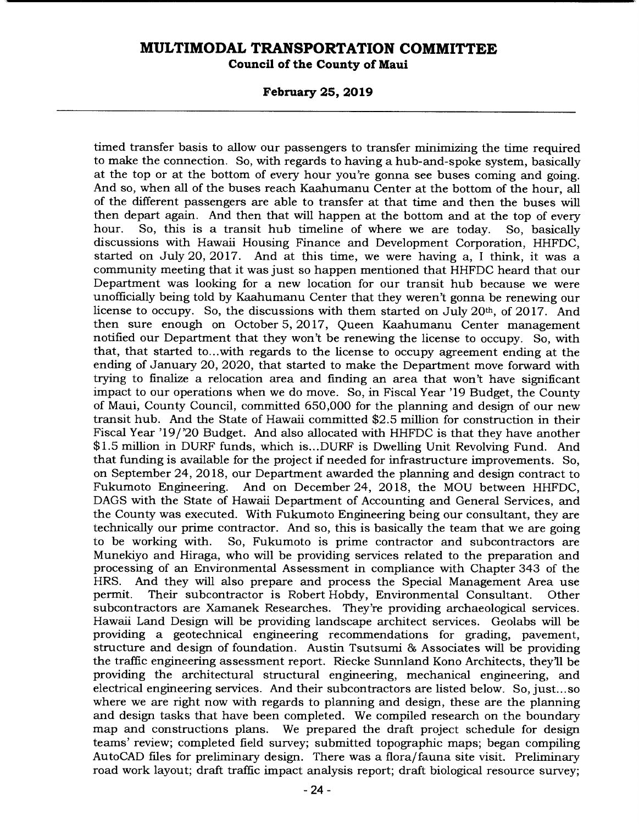**February 25, 2019** 

timed transfer basis to allow our passengers to transfer minimizing the time required to make the connection. So, with regards to having a hub-and-spoke system, basically at the top or at the bottom of every hour you're gonna see buses coming and going. And so, when all of the buses reach Kaahumanu Center at the bottom of the hour, all of the different passengers are able to transfer at that time and then the buses will then depart again. And then that will happen at the bottom and at the top of every hour. So, this is a transit hub timeline of where we are today. So, basically discussions with Hawaii Housing Finance and Development Corporation, HHFDC, started on July 20, 2017. And at this time, we were having a, I think, it was a community meeting that it was just so happen mentioned that HHFDC heard that our Department was looking for a new location for our transit hub because we were unofficially being told by Kaahumanu Center that they weren't gonna be renewing our license to occupy. So, the discussions with them started on July 20th, of 2017. And then sure enough on October 5, 2017, Queen Kaahumanu Center management notified our Department that they won't be renewing the license to occupy. So, with that, that started to...with regards to the license to occupy agreement ending at the ending of January 20, 2020, that started to make the Department move forward with trying to finalize a relocation area and finding an area that won't have significant impact to our operations when we do move. So, in Fiscal Year '19 Budget, the County of Maui, County Council, committed 650,000 for the planning and design of our new transit hub. And the State of Hawaii committed \$2.5 million for construction in their Fiscal Year '19/'20 Budget. And also allocated with HHFDC is that they have another \$1.5 million in DURF funds, which is ... DURF is Dwelling Unit Revolving Fund. And that funding is available for the project if needed for infrastructure improvements. So, on September 24, 2018, our Department awarded the planning and design contract to Fukumoto Engineering. And on December 24, 2018, the MOU between HHFDC. And on December 24, 2018, the MOU between HHFDC, DAGS with the State of Hawaii Department of Accounting and General Services, and the County was executed. With Fukumoto Engineering being our consultant, they are technically our prime contractor. And so, this is basically the team that we are going<br>to be working with. So, Fukumoto is prime contractor and subcontractors are So, Fukumoto is prime contractor and subcontractors are Munekiyo and Hiraga, who will be providing services related to the preparation and processing of an Environmental Assessment in compliance with Chapter 343 of the HRS. And they will also prepare and process the Special Management Area use permit. Their subcontractor is Robert Hobdy, Environmental Consultant. Other subcontractors are Xamanek Researches. They're providing archaeological services. Hawaii Land Design will be providing landscape architect services. Geolabs will be providing a geotechnical engineering recommendations for grading, pavement, structure and design of foundation. Austin Tsutsumi & Associates will be providing the traffic engineering assessment report. Riecke Sunniand Kono Architects, they'll be providing the architectural structural engineering, mechanical engineering, and electrical engineering services. And their subcontractors are listed below. So, just... so where we are right now with regards to planning and design, these are the planning and design tasks that have been completed. We compiled research on the boundary map and constructions plans. We prepared the draft project schedule for design teams' review; completed field survey; submitted topographic maps; began compiling AutoCAD files for preliminary design. There was a flora/fauna site visit. Preliminary road work layout; draft traffic impact analysis report; draft biological resource survey;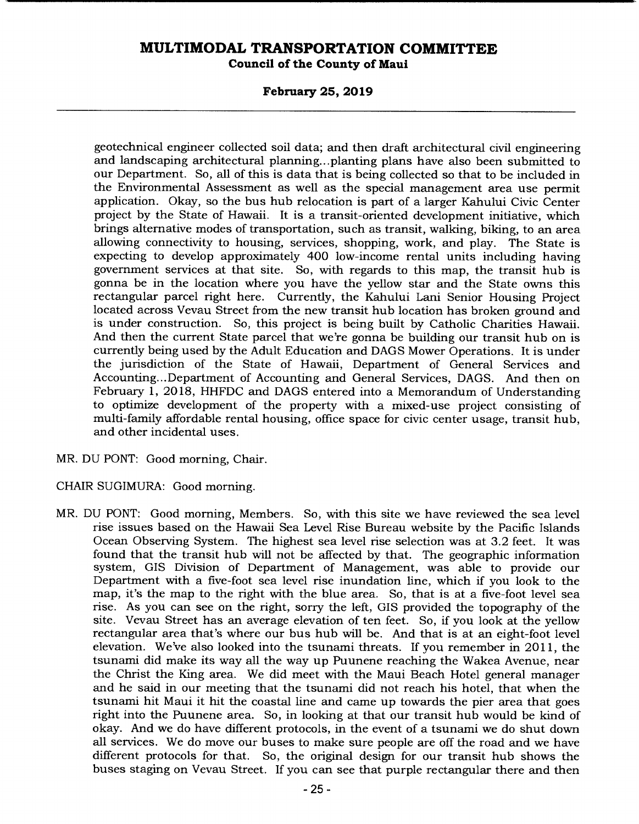**Council of the County of Maui** 

### **February 25, 2019**

geotechnical engineer collected soil data; and then draft architectural civil engineering and landscaping architectural planning... planting plans have also been submitted to our Department. So, all of this is data that is being collected so that to be included in the Environmental Assessment as well as the special management area use permit application. Okay, so the bus hub relocation is part of a larger Kahului Civic Center project by the State of Hawaii. It is a transit-oriented development initiative, which brings alternative modes of transportation, such as transit, walking, biking, to an area allowing connectivity to housing, services, shopping, work, and play. The State is expecting to develop approximately 400 low-income rental units including having government services at that site. So, with regards to this map, the transit hub is gonna be in the location where you have the yellow star and the State owns this rectangular parcel right here. Currently, the Kahului Lani Senior Housing Project located across Vevau Street from the new transit hub location has broken ground and is under construction. So, this project is being built by Catholic Charities Hawaii. And then the current State parcel that we're gonna be building our transit hub on is currently being used by the Adult Education and DAGS Mower Operations. It is under the jurisdiction of the State of Hawaii, Department of General Services and Accounting... Department of Accounting and General Services, DAGS. And then on February 1, 2018, HHFDC and DAGS entered into a Memorandum of Understanding to optimize development of the property with a mixed-use project consisting of multi-family affordable rental housing, office space for civic center usage, transit hub, and other incidental uses.

MR. DU PONT: Good morning, Chair.

CHAIR SUGIMURA: Good morning.

MR. DU PONT: Good morning, Members. So, with this site we have reviewed the sea level rise issues based on the Hawaii Sea Level Rise Bureau website by the Pacific Islands Ocean Observing System. The highest sea level rise selection was at 3.2 feet. It was found that the transit hub will not be affected by that. The geographic information system, GIS Division of Department of Management, was able to provide our Department with a five-foot sea level rise inundation line, which if you look to the map, it's the map to the right with the blue area. So, that is at a five-foot level sea rise. As you can see on the right, sorry the left, GIS provided the topography of the site. Vevau Street has an average elevation of ten feet. So, if you look at the yellow rectangular area that's where our bus hub will be. And that is at an eight-foot level elevation. We've also looked into the tsunami threats. If you remember in 2011, the tsunami did make its way all the way up Puunene reaching the Wakea Avenue, near the Christ the King area. We did meet with the Maui Beach Hotel general manager and he said in our meeting that the tsunami did not reach his hotel, that when the tsunami hit Maui it hit the coastal line and came up towards the pier area that goes right into the Puunene area. So, in looking at that our transit hub would be kind of okay. And we do have different protocols, in the event of a tsunami we do shut down all services. We do move our buses to make sure people are off the road and we have different protocols for that. So, the original design for our transit hub shows the buses staging on Vevau Street. If you can see that purple rectangular there and then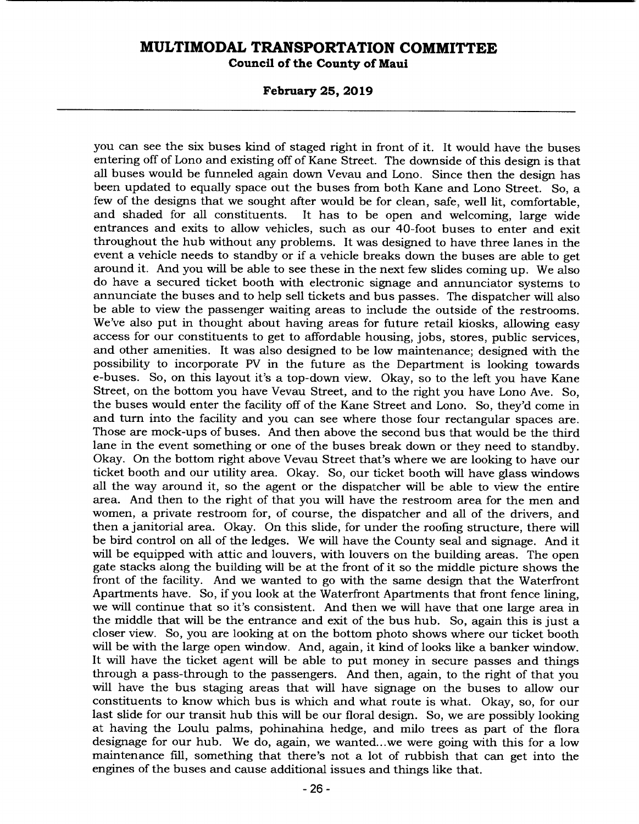**Council of the County of Maui** 

**February 25, 2019** 

you can see the six buses kind of staged right in front of it. It would have the buses entering off of Lono and existing off of Kane Street. The downside of this design is that all buses would be funneled again down Vevau and Lono. Since then the design has been updated to equally space out the buses from both Kane and Lono Street. So, a few of the designs that we sought after would be for clean, safe, well lit, comfortable, and shaded for all constituents. It has to be open and welcoming, large wide It has to be open and welcoming, large wide entrances and exits to allow vehicles, such as our 40-foot buses to enter and exit throughout the hub without any problems. It was designed to have three lanes in the event a vehicle needs to standby or if a vehicle breaks down the buses are able to get around it. And you will be able to see these in the next few slides coming up. We also do have a secured ticket booth with electronic signage and annunciator systems to annunciate the buses and to help sell tickets and bus passes. The dispatcher will also be able to view the passenger waiting areas to include the outside of the restrooms. We've also put in thought about having areas for future retail kiosks, allowing easy access for our constituents to get to affordable housing, jobs, stores, public services, and other amenities. It was also designed to be low maintenance; designed with the possibility to incorporate PV in the future as the Department is looking towards e-buses. So, on this layout it's a top-down view. Okay, so to the left you have Kane Street, on the bottom you have Vevau Street, and to the right you have Lono Ave. So, the buses would enter the facility off of the Kane Street and Lono. So, they'd come in and turn into the facility and you can see where those four rectangular spaces are. Those are mock-ups of buses. And then above the second bus that would be the third lane in the event something or one of the buses break down or they need to standby. Okay. On the bottom right above Vevau Street that's where we are looking to have our ticket booth and our utility area. Okay. So, our ticket booth will have glass windows all the way around it, so the agent or the dispatcher will be able to view the entire area. And then to the right of that you will have the restroom area for the men and women, a private restroom for, of course, the dispatcher and all of the drivers, and then a janitorial area. Okay. On this slide, for under the roofing structure, there will be bird control on all of the ledges. We will have the County seal and signage. And it will be equipped with attic and louvers, with louvers on the building areas. The open gate stacks along the building will be at the front of it so the middle picture shows the front of the facility. And we wanted to go with the same design that the Waterfront Apartments have. So, if you look at the Waterfront Apartments that front fence lining, we will continue that so it's consistent. And then we will have that one large area in the middle that will be the entrance and exit of the bus hub. So, again this is just a closer view. So, you are looking at on the bottom photo shows where our ticket booth will be with the large open window. And, again, it kind of looks like a banker window. It will have the ticket agent will be able to put money in secure passes and things through a pass-through to the passengers. And then, again, to the right of that you will have the bus staging areas that will have signage on the buses to allow our constituents to know which bus is which and what route is what. Okay, so, for our last slide for our transit hub this will be our floral design. So, we are possibly looking at having the Loulu palms, pohinahina hedge, and milo trees as part of the flora designage for our hub. We do, again, we wanted.. .we were going with this for a low maintenance fill, something that there's not a lot of rubbish that can get into the engines of the buses and cause additional issues and things like that.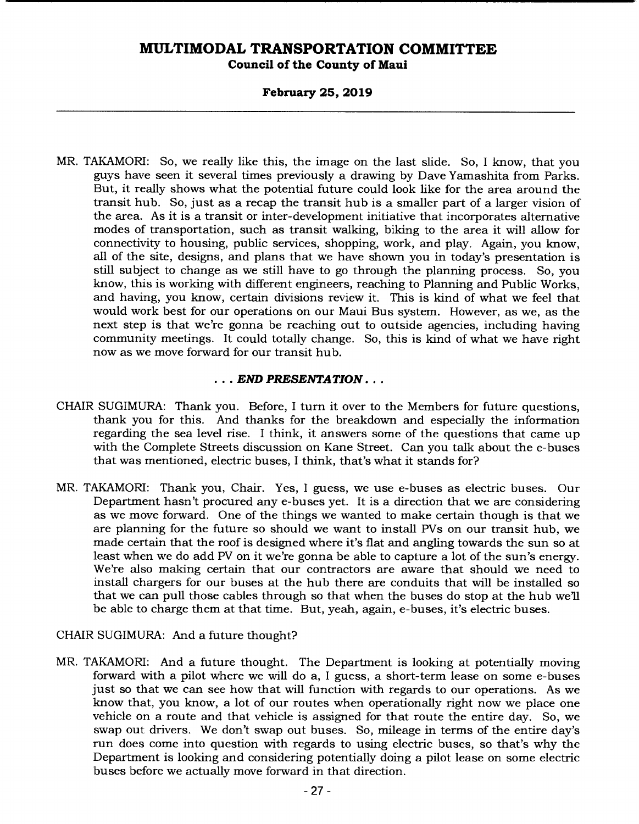### **February 25, 2019**

MR. TAKAMORI: So, we really like this, the image on the last slide. So, I know, that you guys have seen it several times previously a drawing by Dave Yamashita from Parks. But, it really shows what the potential future could look like for the area around the transit hub. So, just as a recap the transit hub is a smaller part of a larger vision of the area. As it is a transit or inter-development initiative that incorporates alternative modes of transportation, such as transit walking, biking to the area it will allow for connectivity to housing, public services, shopping, work, and play. Again, you know, all of the site, designs, and plans that we have shown you in today's presentation is still subject to change as we still have to go through the planning process. So, you know, this is working with different engineers, reaching to Planning and Public Works, and having, you know, certain divisions review it. This is kind of what we feel that would work best for our operations on our Maui Bus system. However, as we, as the next step is that we're gonna be reaching out to outside agencies, including having community meetings. It could totally change. So, this is kind of what we have right now as we move forward for our transit hub.

### *END PRESENTATION...*

- CHAIR SUGIMURA: Thank you. Before, I turn it over to the Members for future questions, thank you for this. And thanks for the breakdown and especially the information regarding the sea level rise. I think, it answers some of the questions that came up with the Complete Streets discussion on Kane Street. Can you talk about the e-buses that was mentioned, electric buses, I think, that's what it stands for?
- MR. TAKAMORI: Thank you, Chair. Yes, I guess, we use e-buses as electric buses. Our Department hasn't procured any e-buses yet. It is a direction that we are considering as we move forward. One of the things we wanted to make certain though is that we are planning for the future so should we want to install PVs on our transit hub, we made certain that the roof is designed where it's flat and angling towards the sun so at least when we do add PV on it we're gonna be able to capture a lot of the sun's energy. We're also making certain that our contractors are aware that should we need to install chargers for our buses at the hub there are conduits that will be installed so that we can pull those cables through so that when the buses do stop at the hub we'll be able to charge them at that time. But, yeah, again, e-buses, it's electric buses.

### CHAIR SUGIMURA: And a future thought?

MR. TAKAMORI: And a future thought. The Department is looking at potentially moving forward with a pilot where we will do a, I guess, a short-term lease on some e-buses just so that we can see how that will function with regards to our operations. As we know that, you know, a lot of our routes when operationally right now we place one vehicle on a route and that vehicle is assigned for that route the entire day. So, we swap out drivers. We don't swap out buses. So, mileage in terms of the entire day's run does come into question with regards to using electric buses, so that's why the Department is looking and considering potentially doing a pilot lease on some electric buses before we actually move forward in that direction.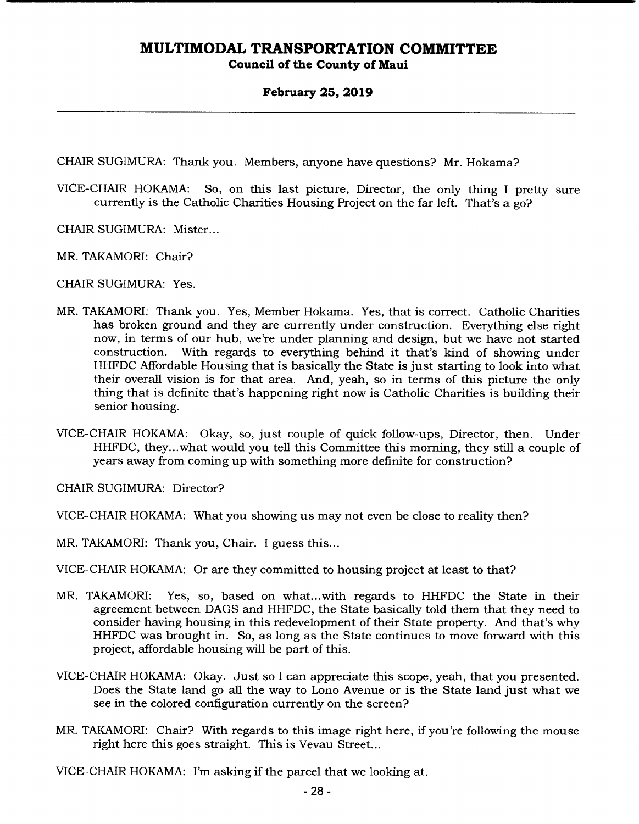### **February 25, 2019**

CHAIR SUGIMURA: Thank you. Members, anyone have questions? Mr. Hokama?

- VICE-CHAIR HOKAMA: So, on this last picture, Director, the only thing I pretty sure currently is the Catholic Charities Housing Project on the far left. That's a go?
- CHAIR SUGIMURA: Mister...
- MR. TAKAMORI: Chair?
- CHAIR SUGIMURA: Yes.
- MR. TAKAMORI: Thank you. Yes, Member Hokama. Yes, that is correct. Catholic Charities has broken ground and they are currently under construction. Everything else right now, in terms of our hub, we're under planning and design, but we have not started construction. With regards to everything behind it that's kind of showing under HHFDC Affordable Housing that is basically the State is just starting to look into what their overall vision is for that area. And, yeah, so in terms of this picture the only thing that is definite that's happening right now is Catholic Charities is building their senior housing.
- VICE-CHAIR HOKAMA: Okay, so, just couple of quick follow-ups, Director, then. Under HHFDC, they.. .what would you tell this Committee this morning, they still a couple of years away from coming up with something more definite for construction?
- CHAIR SUGIMURA: Director?
- VICE-CHAIR HOKAMA: What you showing us may not even be close to reality then?
- MR. TAKAMORI: Thank you, Chair. I guess this...
- VICE-CHAIR HOKAMA: Or are they committed to housing project at least to that?
- MR. TAKAMORI: Yes, so, based on what...with regards to HHFDC the State in their agreement between DAGS and HHFDC, the State basically told them that they need to consider having housing in this redevelopment of their State property. And that's why HHFDC was brought in. So, as long as the State continues to move forward with this project, affordable housing will be part of this.
- VICE-CHAIR HOKAMA: Okay. Just so I can appreciate this scope, yeah, that you presented. Does the State land go all the way to Lono Avenue or is the State land just what we see in the colored configuration currently on the screen?
- MR. TAKAMORI: Chair? With regards to this image right here, if you're following the mouse right here this goes straight. This is Vevau Street...

VICE-CHAIR HOKAMA: I'm asking if the parcel that we looking at.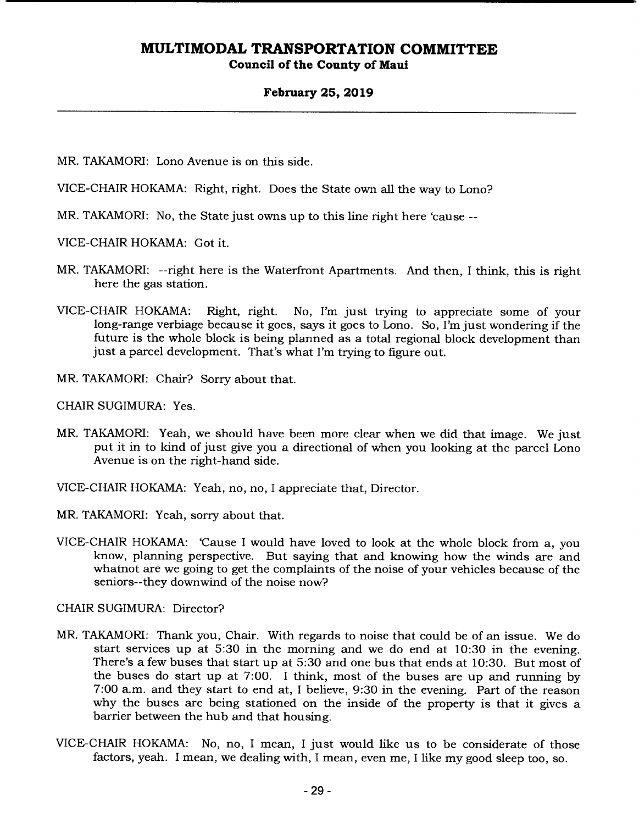### **February 25, 2019**

MR. TAKAMORI: Lono Avenue is on this side.

VICE-CHAIR HOKAMA: Right, right. Does the State own all the way to Lono?

MR. TAKAMORI: No, the State just owns up to this line right here 'cause --

VICE-CHAIR HOKAMA: Got it.

- MR. TAKAMORI: --right here is the Waterfront Apartments. And then, I think, this is right here the gas station.
- VICE-CHAIR HOKAMA: Right, right. No, I'm just trying to appreciate some of your long-range verbiage because it goes, says it goes to Lono. So, I'm just wondering if the future is the whole block is being planned as a total regional block development than just a parcel development. That's what I'm trying to figure out.
- MR. TAKAMORI: Chair? Sorry about that.

CHAIR SUGIMURA: Yes.

- MR. TAKAMORI: Yeah, we should have been more clear when we did that image. We just put it in to kind of just give you a directional of when you looking at the parcel Lono Avenue is on the right-hand side.
- VICE-CHAIR HOKAMA: Yeah, no, no, I appreciate that, Director.
- MR. TAKAMORI: Yeah, sorry about that.
- VICE-CHAIR HOKAMA: 'Cause I would have loved to look at the whole block from a, you know, planning perspective. But saying that and knowing how the winds are and whatnot are we going to get the complaints of the noise of your vehicles because of the seniors--they downwind of the noise now?

CHAIR SUGIMURA: Director?

- MR. TAKAMORI: Thank you, Chair. With regards to noise that could be of an issue. We do start services up at 5:30 in the morning and we do end at 10:30 in the evening. There's a few buses that start up at 5:30 and one bus that ends at 10:30. But most of the buses do start up at 7:00. I think, most of the buses are up and running by 7:00 a.m. and they start to end at, I believe, 9:30 in the evening. Part of the reason why the buses are being stationed on the inside of the property is that it gives a barrier between the hub and that housing.
- VICE-CHAIR HOKAMA: No, no, I mean, I just would like us to be considerate of those factors, yeah. I mean, we dealing with, I mean, even me, I like my good sleep too, so.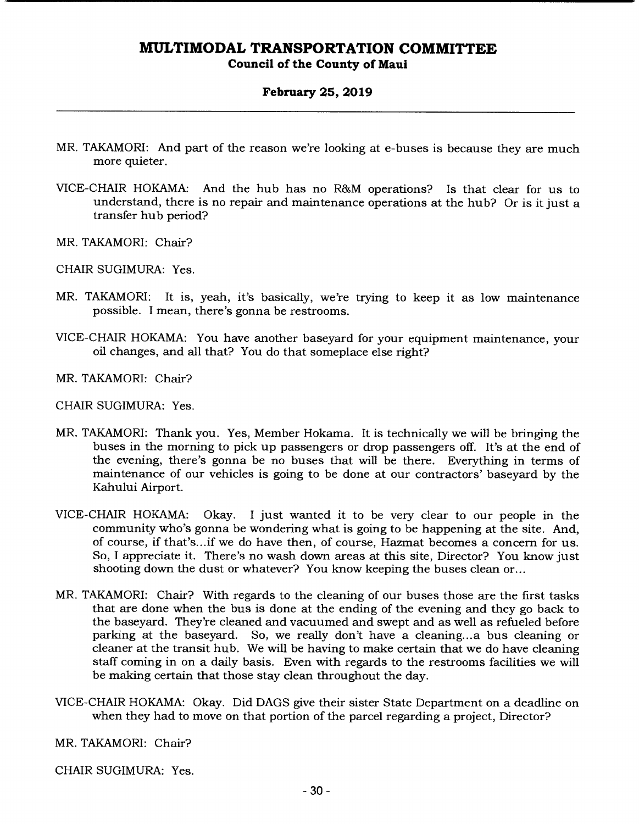**Council of the County of Maui** 

### **February 25, 2019**

- MR. TAKAMORI: And part of the reason we're looking at c-buses is because they are much more quieter.
- VICE-CHAIR HOKAMA: And the hub has no R&M operations? Is that clear for us to understand, there is no repair and maintenance operations at the hub? Or is it just a transfer hub period?
- MR. TAKAMORI: Chair?

CHAIR SUGIMURA: Yes.

- MR. TAKAMORI: It is, yeah, it's basically, we're trying to keep it as low maintenance possible. I mean, there's gonna be restrooms.
- VICE-CHAIR HOKAMA: You have another baseyard for your equipment maintenance, your oil changes, and all that? You do that someplace else right?
- MR. TAKAMORI: Chair?

CHAIR SUGIMURA: Yes.

- MR. TAKAMORI: Thank you. Yes, Member Hokama. It is technically we will be bringing the buses in the morning to pick up passengers or drop passengers off. It's at the end of the evening, there's gonna be no buses that will be there. Everything in terms of maintenance of our vehicles is going to be done at our contractors' baseyard by the Kahului Airport.
- VICE-CHAIR HOKAMA: Okay. I just wanted it to be very clear to our people in the community who's gonna be wondering what is going to be happening at the site. And, of course, if that's.. .if we do have then, of course, Hazmat becomes a concern for us. So, I appreciate it. There's no wash down areas at this site, Director? You know just shooting down the dust or whatever? You know keeping the buses clean or...
- MR. TAKAMORI: Chair? With regards to the cleaning of our buses those are the first tasks that are done when the bus is done at the ending of the evening and they go back to the baseyard. They're cleaned and vacuumed and swept and as well as refueled before parking at the baseyard. So, we really don't have a cleaning... a bus cleaning or cleaner at the transit hub. We will be having to make certain that we do have cleaning staff coming in on a daily basis. Even with regards to the restrooms facilities we will be making certain that those stay clean throughout the day.
- VICE-CHAIR HOKAMA: Okay. Did DAGS give their sister State Department on a deadline on when they had to move on that portion of the parcel regarding a project, Director?

MR. TAKAMORI: Chair?

CHAIR SUGIMURA: Yes.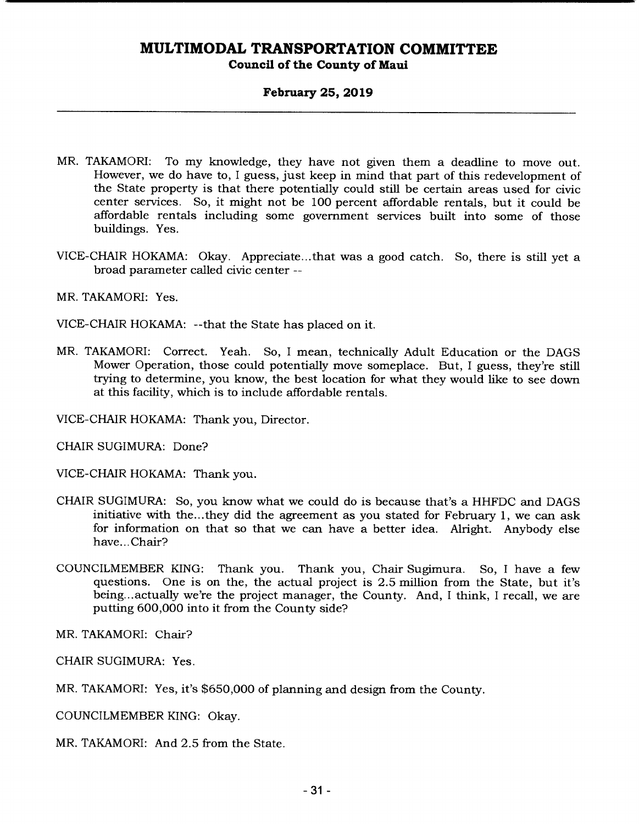### **February 25, 2019**

- MR. TAKAMORI: To my knowledge, they have not given them a deadline to move out. However, we do have to, I guess, just keep in mind that part of this redevelopment of the State property is that there potentially could still be certain areas used for civic center services. So, it might not be 100 percent affordable rentals, but it could be affordable rentals including some government services built into some of those buildings. Yes.
- VICE-CHAIR HOKAMA: Okay. Appreciate.. .that was a good catch. So, there is still yet a broad parameter called civic center --

MR. TAKAMORI: Yes.

VICE-CHAIR HOKAMA: --that the State has placed on it.

MR. TAKAMORI: Correct. Yeah. So, I mean, technically Adult Education or the DAGS Mower Operation, those could potentially move someplace. But, I guess, they're still trying to determine, you know, the best location for what they would like to see down at this facility, which is to include affordable rentals.

VICE-CHAIR HOKAMA: Thank you, Director.

CHAIR SUGIMURA: Done?

VICE-CHAIR HOKAMA: Thank you.

- CHAIR SUGIMURA: So, you know what we could do is because that's a HHFDC and DAGS initiative with the... they did the agreement as you stated for February 1, we can ask for information on that so that we can have a better idea. Alright. Anybody else have... Chair?
- COUNCILMEMBER KING: Thank you. Thank you, Chair Sugimura. So, I have a few questions. One is on the, the actual project is 2.5 million from the State, but it's being... actually we're the project manager, the County. And, I think, I recall, we are putting 600,000 into it from the County side?

MR. TAKAMORI: Chair?

CHAIR SUGIMURA: Yes.

MR. TAKAMORI: Yes, it's \$650,000 of planning and design from the County.

COUNCILMEMBER KING: Okay.

MR. TAKAMORI: And 2.5 from the State.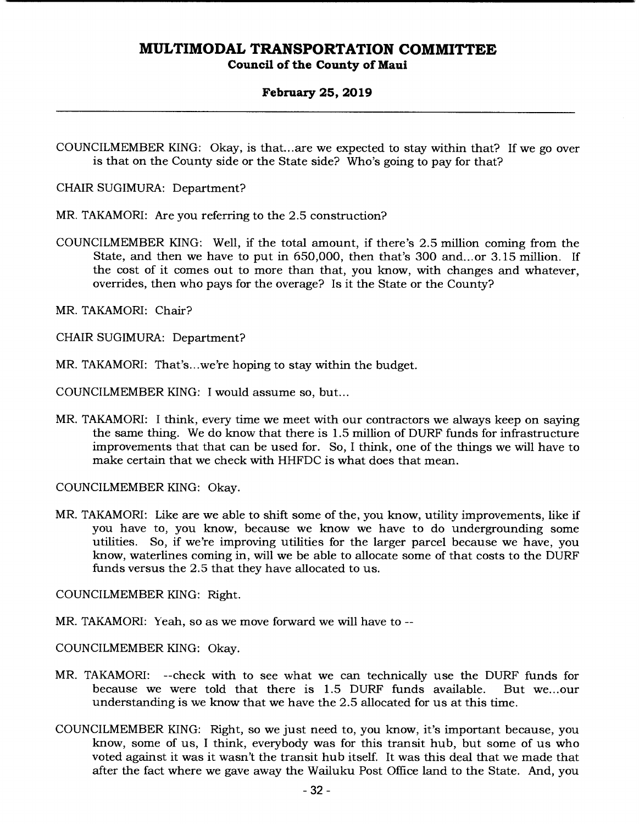### **February 25, 2019**

CHAIR SUGIMURA: Department?

MR. TAKAMORI: Are you referring to the 2.5 construction?

- COUNCILMEMBER KING: Well, if the total amount, if there's 2.5 million coming from the State, and then we have to put in 650,000, then that's 300 and...or 3.15 million. If the cost of it comes out to more than that, you know, with changes and whatever, overrides, then who pays for the overage? Is it the State or the County?
- MR. TAKAMORI: Chair?

CHAIR SUGIMURA: Department?

MR. TAKAMORI: That's.. .we're hoping to stay within the budget.

COUNCILMEMBER KING: I would assume so, but...

MR. TAKAMORI: I think, every time we meet with our contractors we always keep on saying the same thing. We do know that there is 1.5 million of DURF funds for infrastructure improvements that that can be used for. So, I think, one of the things we will have to make certain that we check with HHFDC is what does that mean.

COUNCILMEMBER KING: Okay.

MR. TAKAMORI: Like are we able to shift some of the, you know, utility improvements, like if you have to, you know, because we know we have to do undergrounding some utilities. So, if we're improving utilities for the larger parcel because we have, you know, waterlines coming in, will we be able to allocate some of that costs to the DURF funds versus the 2.5 that they have allocated to us.

COUNCILMEMBER KING: Right.

MR. TAKAMORI: Yeah, so as we move forward we will have to --

COUNCILMEMBER KING: Okay.

- MR. TAKAMORI: --check with to see what we can technically use the DURF funds for because we were told that there is 1.5 DURF funds available. But we.. .our understanding is we know that we have the 2.5 allocated for us at this time.
- COUNCILMEMBER KING: Right, so we just need to, you know, it's important because, you know, some of us, I think, everybody was for this transit hub, but some of us who voted against it was it wasn't the transit hub itself. It was this deal that we made that after the fact where we gave away the Wailuku Post Office land to the State. And, you

COUNCILMEMBER KING: Okay, is that... are we expected to stay within that? If we go over is that on the County side or the State side? Who's going to pay for that?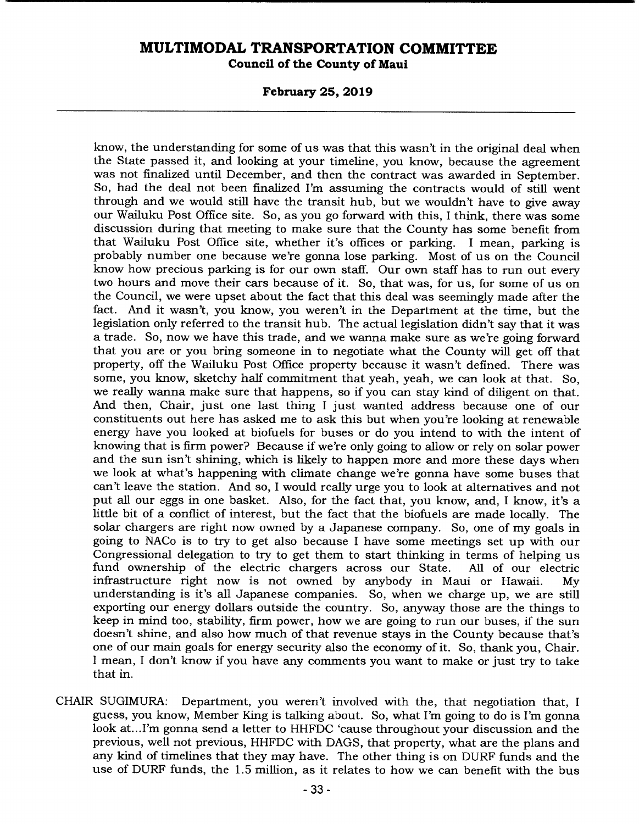**Council of the County of Maui** 

**February 25, 2019** 

know, the understanding for some of us was that this wasn't in the original deal when the State passed it, and looking at your timeline, you know, because the agreement was not finalized until December, and then the contract was awarded in September. So, had the deal not been finalized I'm assuming the contracts would of still went through and we would still have the transit hub, but we wouldn't have to give away our Wailuku Post Office site. So, as you go forward with this, I think, there was some discussion during that meeting to make sure that the County has some benefit from that Wailuku Post Office site, whether it's offices or parking. I mean, parking is probably number one because we're gonna lose parking. Most of us on the Council know how precious parking is for our own staff. Our own staff has to run out every two hours and move their cars because of it. So, that was, for us, for some of us on the Council, we were upset about the fact that this deal was seemingly made after the fact. And it wasn't, you know, you weren't in the Department at the time, but the legislation only referred to the transit hub. The actual legislation didn't say that it was a trade. So, now we have this trade, and we wanna make sure as we're going forward that you are or you bring someone in to negotiate what the County will get off that property, off the Wailuku Post Office property because it wasn't defined. There was some, you know, sketchy half commitment that yeah, yeah, we can look at that. So, we really wanna make sure that happens, so if you can stay kind of diligent on that. And then, Chair, just one last thing I just wanted address because one of our constituents out here has asked me to ask this but when you're looking at renewable energy have you looked at biofuels for buses or do you intend to with the intent of knowing that is firm power? Because if we're only going to allow or rely on solar power and the sun isn't shining, which is likely to happen more and more these days when we look at what's happening with climate change we're gonna have some buses that can't leave the station. And so, I would really urge you to look at alternatives and not put all our eggs in one basket. Also, for the fact that, you know, and, I know, it's a little bit of a conflict of interest, but the fact that the biofuels are made locally. The solar chargers are right now owned by a Japanese company. So, one of my goals in going to NACo is to try to get also because I have some meetings set up with our Congressional delegation to try to get them to start thinking in terms of helping us fund ownership of the electric chargers across our State. infrastructure right now is not owned by anybody in Maui or Hawaii. My understanding is it's all Japanese companies. So, when we charge up, we are still exporting our energy dollars outside the country. So, anyway those are the things to keep in mind too, stability, firm power, how we are going to run our buses, if the sun doesn't shine, and also how much of that revenue stays in the County because that's one of our main goals for energy security also the economy of it. So, thank you, Chair. I mean, I don't know if you have any comments you want to make or just try to take that in.

CHAIR SUGIMURA: Department, you weren't involved with the, that negotiation that, I guess, you know, Member King is talking about. So, what I'm going to do is I'm gonna look at... I'm gonna send a letter to HHFDC 'cause throughout your discussion and the previous, well not previous, HHFDC with DAGS, that property, what are the plans and any kind of timelines that they may have. The other thing is on DURF funds and the use of DURF funds, the 1.5 million, as it relates to how we can benefit with the bus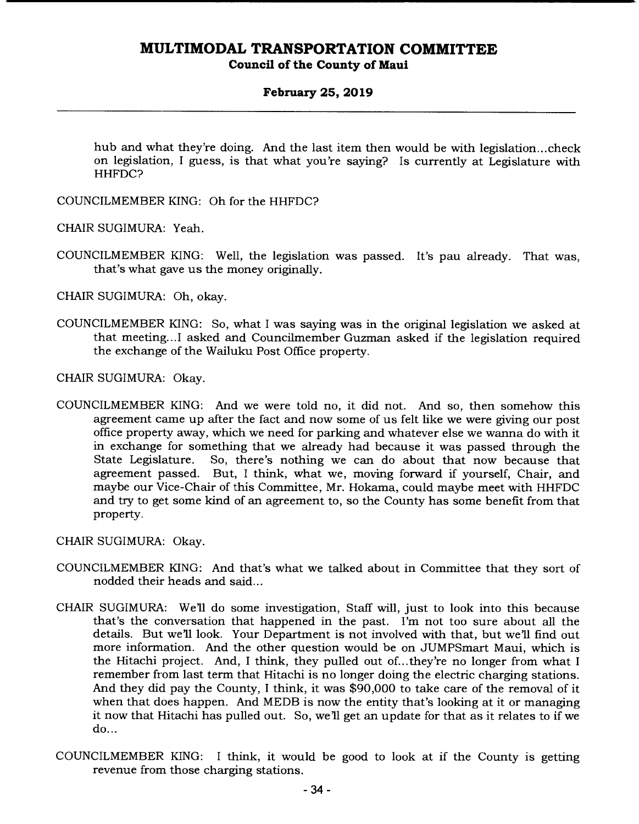### **February 25, 2019**

hub and what they're doing. And the last item then would be with legislation... check on legislation, I guess, is that what you're saying? Is currently at Legislature with HHFDC?

COUNCILMEMBER KING: Oh for the HHFDC?

CHAIR SUGIMURA: Yeah.

COUNCILMEMBER KING: Well, the legislation was passed. It's pau already. That was, that's what gave us the money originally.

CHAIR SUGIMURA: Oh, okay.

COUNCILMEMBER KING: So, what I was saying was in the original legislation we asked at that meeting... I asked and Councilmember Guzman asked if the legislation required the exchange of the Wailuku Post Office property.

CHAIR SUGIMURA: Okay.

COUNCILMEMBER KING: And we were told no, it did not. And so, then somehow this agreement came up after the fact and now some of us felt like we were giving our post office property away, which we need for parking and whatever else we wanna do with it in exchange for something that we already had because it was passed through the So, there's nothing we can do about that now because that agreement passed. But, I think, what we, moving forward if yourself, Chair, and maybe our Vice-Chair of this Committee, Mr. Hokama, could maybe meet with HHFDC and try to get some kind of an agreement to, so the County has some benefit from that property.

CHAIR SUGIMURA: Okay.

- COUNCILMEMBER KING: And that's what we talked about in Committee that they sort of nodded their heads and said...
- CHAIR SUGIMURA: Well do some investigation, Staff will, just to look into this because that's the conversation that happened in the past. I'm not too sure about all the details. But we'll look. Your Department is not involved with that, but we'll find out more information. And the other question would be on JUMPSmart Maui, which is the Hitachi project. And, I think, they pulled out of... they're no longer from what I remember from last term that Hitachi is no longer doing the electric charging stations. And they did pay the County, I think, it was \$90,000 to take care of the removal of it when that does happen. And MEDB is now the entity that's looking at it or managing it now that Hitachi has pulled out. So, we'll get an update for that as it relates to if we do...
- COUNCILMEMBER KING: I think, it would be good to look at if the County is getting revenue from those charging stations.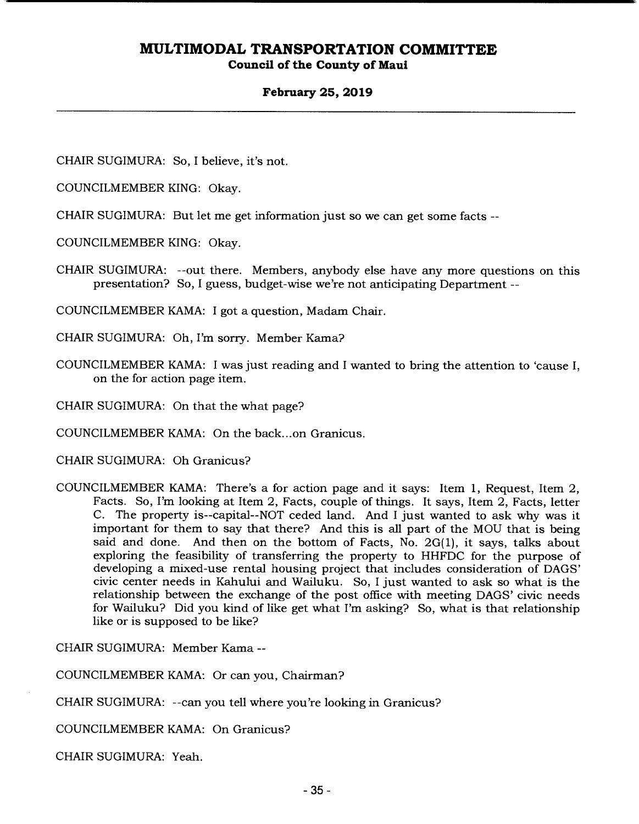### **February 25, 2019**

CHAIR SUGIMURA: So, I believe, it's not.

COUNCILMEMBER KING: Okay.

CHAIR SUGIMURA: But let me get information just so we can get some facts --

COUNCILMEMBER KING: Okay.

CHAIR SUGIMURA: --out there. Members, anybody else have any more questions on this presentation? So, I guess, budget-wise we're not anticipating Department --

COUNCILMEMBER KAMA: I got a question, Madam Chair.

CHAIR SUGIMURA: Oh, I'm sorry. Member Kama?

COUNCILMEMBER KAMA: I was just reading and I wanted to bring the attention to 'cause I, on the for action page item.

CHAIR SUGIMURA: On that the what page?

COUNCILMEMBER KAMA: On the back... on Granicus.

CHAIR SUGIMURA: Oh Granicus?

COUNCILMEMBER KAMA: There's a for action page and it says: Item 1, Request, Item 2, Facts. So, I'm looking at Item 2, Facts, couple of things. It says, Item 2, Facts, letter C. The property is--capital--NOT ceded land. And I just wanted to ask why was it important for them to say that there? And this is all part of the MOU that is being said and done. And then on the bottom of Facts, No. 2G(1), it says, talks about exploring the feasibility of transferring the property to HHFDC for the purpose of developing a mixed-use rental housing project that includes consideration of DAGS' civic center needs in Kahului and Wailuku. So, I just wanted to ask so what is the relationship between the exchange of the post office with meeting DAGS' civic needs for Wailuku? Did you kind of like get what I'm asking? So, what is that relationship like or is supposed to be like?

CHAIR SUGIMURA: Member Kama --

COUNCILMEMBER KAMA: Or can you, Chairman?

CHAIR SUGIMURA: --can you tell where you're looking in Granicus?

COUNCILMEMBER KAMA: On Granicus?

CHAIR SUGIMURA: Yeah.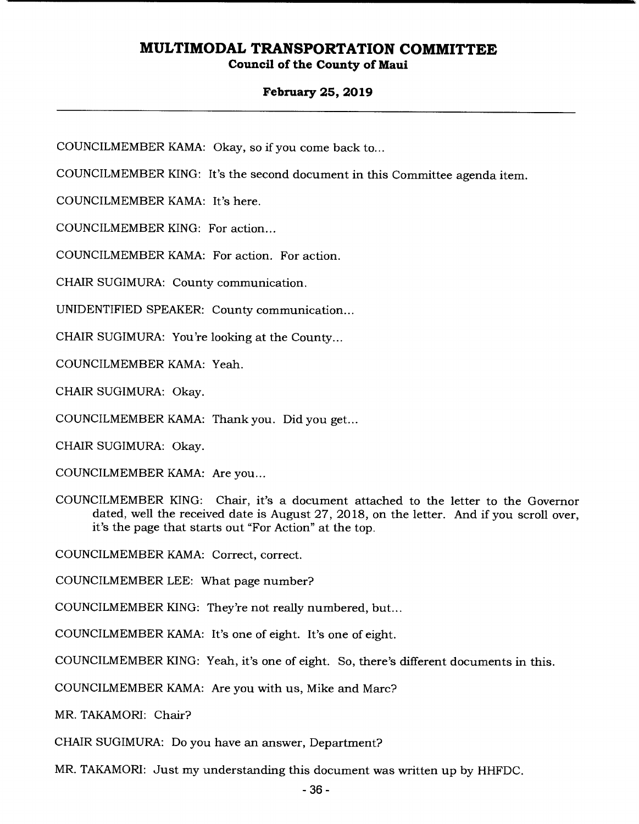### **February 25, 2019**

COUNCILMEMBER KAMA: Okay, so if you come back to...

COUNCILMEMBER KING: It's the second document in this Committee agenda item.

COUNCILMEMBER KAMA: It's here.

COUNCILMEMBER KING: For action...

COUNCILMEMBER KAMA: For action. For action.

CHAIR SUGIMURA: County communication.

UNIDENTIFIED SPEAKER: County communication...

CHAIR SUGIMURA: You're looking at the County...

COUNCILMEMBER KAMA: Yeah.

CHAIR SUGIMURA: Okay.

COUNCILMEMBER KAMA: Thank you. Did you get...

CHAIR SUGIMURA: Okay.

COUNCILMEMBER KAMA: Are you...

COUNCILMEMBER KING: Chair, it's a document attached to the letter to the Governor dated, well the received date is August 27, 2018, on the letter. And if you scroll over, it's the page that starts out "For Action" at the top.

COUNCILMEMBER KAMA: Correct, correct.

COUNCILMEMBER LEE: What page number?

COUNCILMEMBER KING: They're not really numbered, but...

COUNCILMEMBER KAMA: It's one of eight. It's one of eight.

COUNCILMEMBER KING: Yeah, it's one of eight. So, there's different documents in this.

COUNCILMEMBER KAMA: Are you with us, Mike and Marc?

MR. TAKAMORI: Chair?

CHAIR SUGIMURA: Do you have an answer, Department?

MR. TAKAMORI: Just my understanding this document was written up by HHFDC.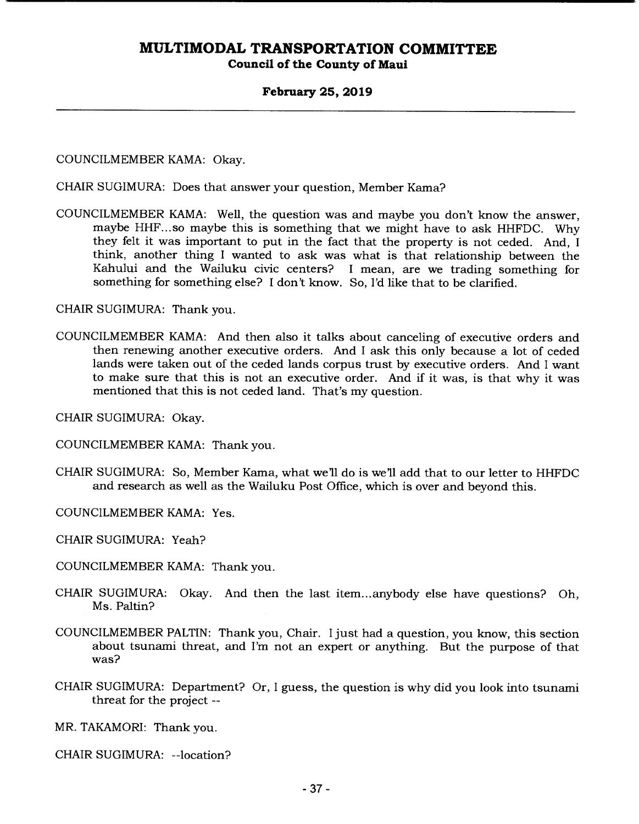### **February** *25,* **2019**

COUNCILMEMBER KAMA: Okay.

CHAIR SUGIMURA: Does that answer your question, Member Kama?

COUNCILMEMBER KAMA: Well, the question was and maybe you don't know the answer, maybe HHF... so maybe this is something that we might have to ask HHFDC. Why they felt it was important to put in the fact that the property is not ceded. And, I think, another thing I wanted to ask was what is that relationship between the Kahului and the Wailuku civic centers? I mean, are we trading something for something for something else? I don't know. So, I'd like that to be clarified.

CHAIR SUGIMURA: Thank you.

COUNCILMEMBER KAMA: And then also it talks about canceling of executive orders and then renewing another executive orders. And I ask this only because a lot of ceded lands were taken out of the ceded lands corpus trust by executive orders. And I want to make sure that this is not an executive order. And if it was, is that why it was mentioned that this is not ceded land. That's my question.

CHAIR SUGIMURA: Okay.

COUNCILMEMBER KAMA: Thank you.

CHAIR SUGIMURA: So, Member Kama, what we'll do is we'll add that to our letter to HHFDC and research as well as the Wailuku Post Office, which is over and beyond this.

COUNCILMEMBER KAMA: Yes.

CHAIR SUGIMURA: Yeah?

- COUNCILMEMBER KAMA: Thank you.
- CHAIR SUGIMURA: Okay. And then the last item... anybody else have questions? Oh, Ms. Paltin?
- COUNCILMEMBER PALTIN: Thank you, Chair. I just had a question, you know, this section about tsunami threat, and I'm not an expert or anything. But the purpose of that was?
- CHAIR SUGIMURA: Department? Or, I guess, the question is why did you look into tsunami threat for the project --

MR. TAKAMORI: Thank you.

CHAIR SUGIMURA: --location?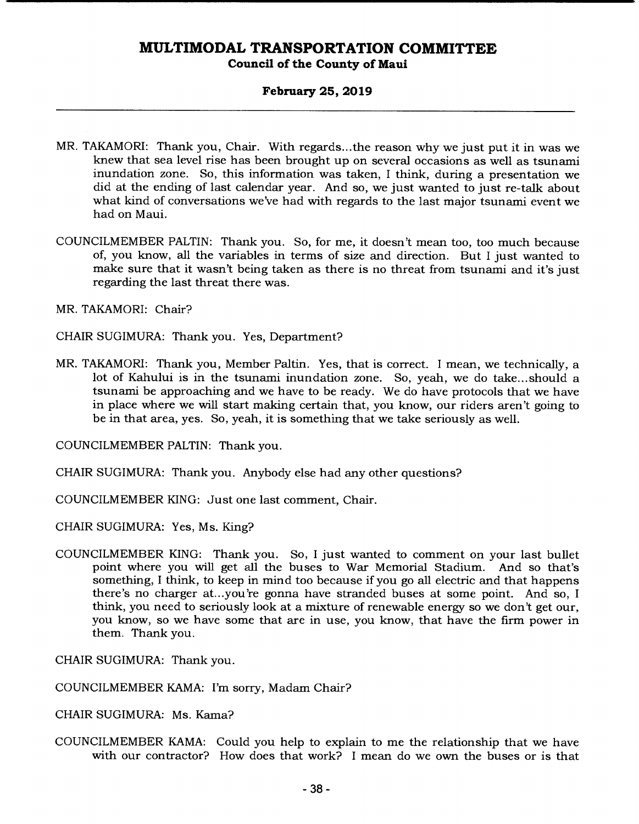**Council of the County of Maui** 

### **February 25, 2019**

- MR. TAKAMORI: Thank you, Chair. With regards.. .the reason why we just put it in was we knew that sea level rise has been brought up on several occasions as well as tsunami inundation zone. So, this information was taken, I think, during a presentation we did at the ending of last calendar year. And so, we just wanted to just re-talk about what kind of conversations we've had with regards to the last major tsunami event we had on Maui.
- COUNCILMEMBER PALTIN: Thank you. So, for me, it doesn't mean too, too much because of, you know, all the variables in terms of size and direction. But I just wanted to make sure that it wasn't being taken as there is no threat from tsunami and it's just regarding the last threat there was.

MR. TAKAMORI: Chair?

CHAIR SUGIMURA: Thank you. Yes, Department?

MR. TAKAMORI: Thank you, Member Paltin. Yes, that is correct. I mean, we technically, a lot of Kahului is in the tsunami inundation zone. So, yeah, we do take... should a tsunami be approaching and we have to be ready. We do have protocols that we have in place where we will start making certain that, you know, our riders aren't going to be in that area, yes. So, yeah, it is something that we take seriously as well.

COUNCILMEMBER PALTIN: Thank you.

CHAIR SUGIMURA: Thank you. Anybody else had any other questions?

COUNCILMEMBER KING: Just one last comment, Chair.

CHAIR SUGIMURA: Yes, Ms. King?

COUNCILMEMBER KING: Thank you. So, I just wanted to comment on your last bullet point where you will get all the buses to War Memorial Stadium. And so that's something, I think, to keep in mind too because if you go all electric and that happens there's no charger at...you're gonna have stranded buses at some point. And so, I think, you need to seriously look at a mixture of renewable energy so we don't get our, you know, so we have some that are in use, you know, that have the firm power in them. Thank you.

CHAIR SUGIMURA: Thank you.

COUNCILMEMBER KAMA: I'm sorry, Madam Chair?

CHAIR SUGIMURA: Ms. Kama?

COUNCILMEMBER KAMA: Could you help to explain to me the relationship that we have with our contractor? How does that work? I mean do we own the buses or is that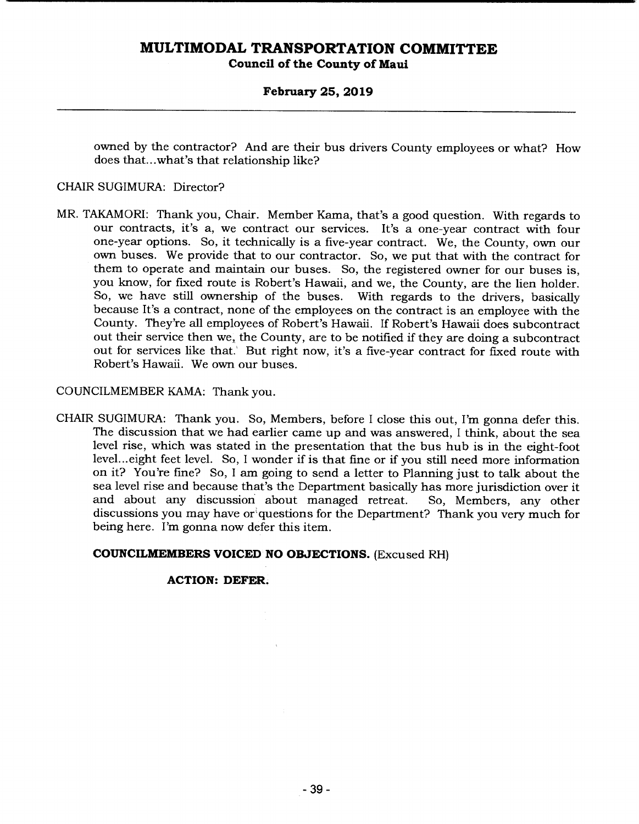### **February 25, 2019**

owned by the contractor? And are their bus drivers County employees or what? How does that.. .what's that relationship like?

### CHAIR SUGIMURA: Director?

MR. TAKAMORI: Thank you, Chair. Member Kama, that's a good question. With regards to our contracts, it's a, we contract our services. It's a one-year contract with four one-year options. So, it technically is a five-year contract. We, the County, own our own buses. We provide that to our contractor. So, we put that with the contract for them to operate and maintain our buses. So, the registered owner for our buses is, you know, for fixed route is Robert's Hawaii, and we, the County, are the lien holder. So, we have still ownership of the buses. With regards to the drivers, basically because It's a contract, none of the employees on the contract is an employee with the County. They're all employees of Robert's Hawaii. If Robert's Hawaii does subcontract out their service then we, the County, are to be notified if they are doing a subcontract out for services like that. But right now, it's a five-year contract for fixed route with Robert's Hawaii. We own our buses.

### COUNCILMEMBER KAMA: Thank you.

CHAIR SUGIMURA: Thank you. So, Members, before I close this out, I'm gonna defer this. The discussion that we had earlier came up and was answered, I think, about the sea level rise, which was stated in the presentation that the bus hub is in the eight-foot level.., eight feet level. So, I wonder if is that fine or if you still need more information on it? You're fine? So, I am going to send a letter to Planning just to talk about the sea level rise and because that's the Department basically has more jurisdiction over it and about any discussion about managed retreat. So, Members, any other discussions you may have or questions for the Department? Thank you very much for being here. I'm gonna now defer this item.

#### **COUNCILMEMBERS VOICED NO OBJECTIONS.** (Excused RH)

#### **ACTION: DEFER.**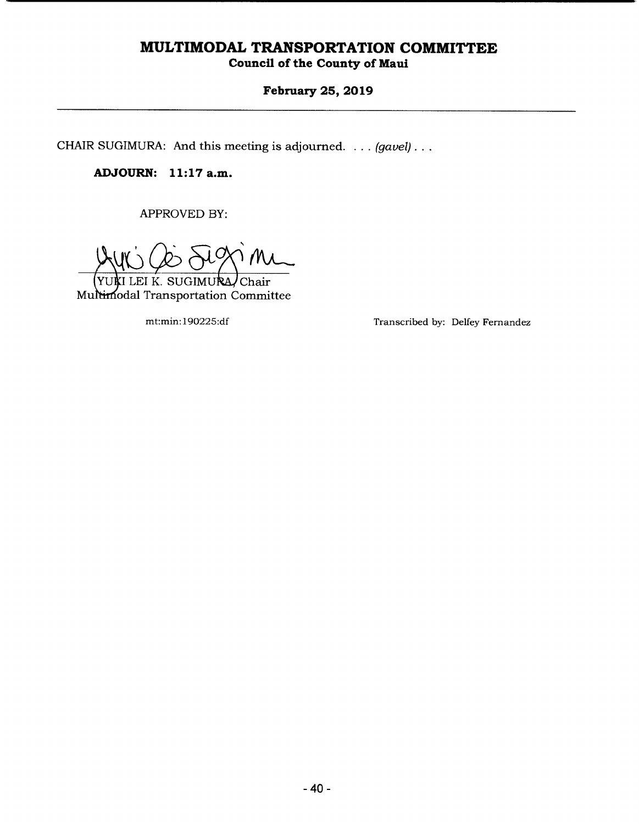# **Council of the County of Maui**

# **February 25, 2019**

CHAIR SUGIMURA: And this meeting is adjourned. . . . *(gavel)...* 

**ADJOURN: 11:17a.m.** 

APPROVED BY:

WINT LEI K. SUGIMURA, Chair<br>Multimodal Transportation Committee I LEI K. SUGIMURA/Chair

mt:min: 190225:df Transcribed by: Delfey Fernandez